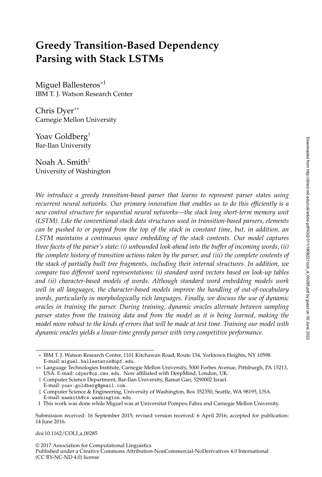# **Greedy Transition-Based Dependency Parsing with Stack LSTMs**

Miguel Ballesteros∗<sup>1</sup> IBM T. J. Watson Research Center

Chris Dyer∗∗ Carnegie Mellon University

Yoav Goldberg† Bar-Ilan University

Noah A. Smith<sup>‡</sup> University of Washington

*We introduce a greedy transition-based parser that learns to represent parser states using recurrent neural networks. Our primary innovation that enables us to do this efficiently is a new control structure for sequential neural networks—the stack long short-term memory unit (LSTM). Like the conventional stack data structures used in transition-based parsers, elements can be pushed to or popped from the top of the stack in constant time, but, in addition, an LSTM maintains a continuous space embedding of the stack contents. Our model captures three facets of the parser's state: (i) unbounded look-ahead into the buffer of incoming words, (ii) the complete history of transition actions taken by the parser, and (iii) the complete contents of the stack of partially built tree fragments, including their internal structures. In addition, we compare two different word representations: (i) standard word vectors based on look-up tables and (ii) character-based models of words. Although standard word embedding models work well in all languages, the character-based models improve the handling of out-of-vocabulary words, particularly in morphologically rich languages. Finally, we discuss the use of dynamic oracles in training the parser. During training, dynamic oracles alternate between sampling parser states from the training data and from the model as it is being learned, making the model more robust to the kinds of errors that will be made at test time. Training our model with dynamic oracles yields a linear-time greedy parser with very competitive performance.*

doi:10.1162/COLI a 00285

© 2017 Association for Computational Linguistics

Published under a Creative Commons Attribution-NonCommercial-NoDerivatives 4.0 International (CC BY-NC-ND 4.0) license

<sup>∗</sup> IBM T. J. Watson Research Center, 1101 Kitchawan Road, Route 134, Yorktown Heights, NY 10598. E-mail: miguel.ballesteros@upf.edu.

<sup>∗∗</sup> Language Technologies Institute, Carnegie Mellon University, 5000 Forbes Avenue, Pittsburgh, PA 15213, USA. E-mail: cdyer@cs.cmu.edu. Now affiliated with DeepMind, London, UK.

<sup>†</sup> Computer Science Department, Bar-Ilan University, Ramat Gan, 5290002 Israel.

E-mail: yoav.goldberg@gmail.com.

<sup>‡</sup> Computer Science & Engineering, University of Washington, Box 352350, Seattle, WA 98195, USA. E-mail: nasmith@cs.washington.edu.

<sup>1</sup> This work was done while Miguel was at Universitat Pompeu Fabra and Carnegie Mellon University.

Submission received: 16 September 2015; revised version received: 6 April 2016; accepted for publication: 14 June 2016.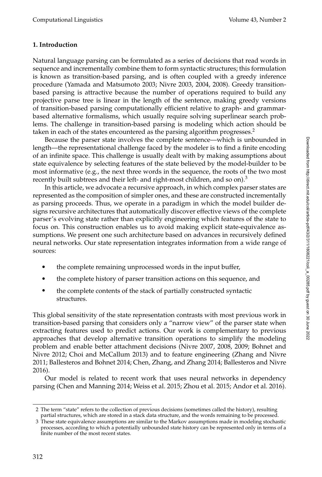## **1. Introduction**

Natural language parsing can be formulated as a series of decisions that read words in sequence and incrementally combine them to form syntactic structures; this formulation is known as transition-based parsing, and is often coupled with a greedy inference procedure (Yamada and Matsumoto 2003; Nivre 2003, 2004, 2008). Greedy transitionbased parsing is attractive because the number of operations required to build any projective parse tree is linear in the length of the sentence, making greedy versions of transition-based parsing computationally efficient relative to graph- and grammarbased alternative formalisms, which usually require solving superlinear search problems. The challenge in transition-based parsing is modeling which action should be taken in each of the states encountered as the parsing algorithm progresses.<sup>2</sup>

Because the parser state involves the complete sentence—which is unbounded in length—the representational challenge faced by the modeler is to find a finite encoding of an infinite space. This challenge is usually dealt with by making assumptions about state equivalence by selecting features of the state believed by the model-builder to be most informative (e.g., the next three words in the sequence, the roots of the two most recently built subtrees and their left- and right-most children, and so on).<sup>3</sup>

In this article, we advocate a recursive approach, in which complex parser states are represented as the composition of simpler ones, and these are constructed incrementally as parsing proceeds. Thus, we operate in a paradigm in which the model builder designs recursive architectures that automatically discover effective views of the complete parser's evolving state rather than explicitly engineering which features of the state to focus on. This construction enables us to avoid making explicit state-equivalence assumptions. We present one such architecture based on advances in recursively defined neural networks. Our state representation integrates information from a wide range of sources:

- r the complete remaining unprocessed words in the input buffer,
- $\bullet$ the complete history of parser transition actions on this sequence, and
- r the complete contents of the stack of partially constructed syntactic structures.

This global sensitivity of the state representation contrasts with most previous work in transition-based parsing that considers only a "narrow view" of the parser state when extracting features used to predict actions. Our work is complementary to previous approaches that develop alternative transition operations to simplify the modeling problem and enable better attachment decisions (Nivre 2007, 2008, 2009; Bohnet and Nivre 2012; Choi and McCallum 2013) and to feature engineering (Zhang and Nivre 2011; Ballesteros and Bohnet 2014; Chen, Zhang, and Zhang 2014; Ballesteros and Nivre 2016).

Our model is related to recent work that uses neural networks in dependency parsing (Chen and Manning 2014; Weiss et al. 2015; Zhou et al. 2015; Andor et al. 2016).

<sup>2</sup> The term "state" refers to the collection of previous decisions (sometimes called the history), resulting partial structures, which are stored in a stack data structure, and the words remaining to be processed.

<sup>3</sup> These state equivalence assumptions are similar to the Markov assumptions made in modeling stochastic processes, according to which a potentially unbounded state history can be represented only in terms of a finite number of the most recent states.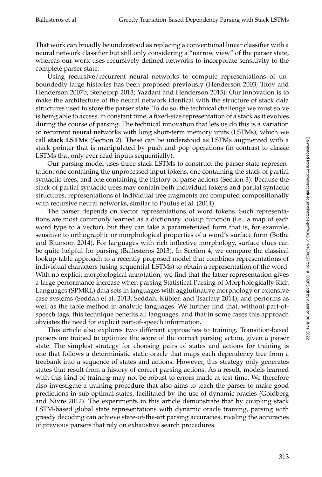That work can broadly be understood as replacing a conventional linear classifier with a neural network classifier but still only considering a "narrow view" of the parser state, whereas our work uses recursively defined networks to incorporate sensitivity to the complete parser state.

Using recursive/recurrent neural networks to compute representations of unboundedly large histories has been proposed previously (Henderson 2003; Titov and Henderson 2007b; Stenetorp 2013; Yazdani and Henderson 2015). Our innovation is to make the architecture of the neural network identical with the structure of stack data structures used to store the parser state. To do so, the technical challenge we must solve is being able to access, in constant time, a fixed-size representation of a stack as it evolves during the course of parsing. The technical innovation that lets us do this is a variation of recurrent neural networks with long short-term memory units (LSTMs), which we call **stack LSTMs** (Section 2). These can be understood as LSTMs augmented with a stack pointer that is manipulated by push and pop operations (in contrast to classic LSTMs that only ever read inputs sequentially).

Our parsing model uses three stack LSTMs to construct the parser state representation: one containing the unprocessed input tokens, one containing the stack of partial syntactic trees, and one containing the history of parse actions (Section 3). Because the stack of partial syntactic trees may contain both individual tokens and partial syntactic structures, representations of individual tree fragments are computed compositionally with recursive neural networks, similar to Paulus et al. (2014).

The parser depends on vector representations of word tokens. Such representations are most commonly learned as a dictionary lookup function (i.e., a map of each word type to a vector), but they can take a parameterized form that is, for example, sensitive to orthographic or morphological properties of a word's surface form (Botha and Blunsom 2014). For languages with rich inflective morphology, surface clues can be quite helpful for parsing (Ballesteros 2013). In Section 4, we compare the classical lookup-table approach to a recently proposed model that combines representations of individual characters (using sequential LSTMs) to obtain a representation of the word. With no explicit morphological annotation, we find that the latter representation gives a large performance increase when parsing Statistical Parsing of Morphologically Rich Languages (SPMRL) data sets in languages with agglutinative morphology or extensive case systems (Seddah et al. 2013; Seddah, Kübler, and Tsarfaty 2014), and performs as well as the table method in analytic languages. We further find that, without part-ofspeech tags, this technique benefits all languages, and that in some cases this approach obviates the need for explicit part-of-speech information.

This article also explores two different approaches to training. Transition-based parsers are trained to optimize the score of the correct parsing action, given a parser state. The simplest strategy for choosing pairs of states and actions for training is one that follows a deterministic static oracle that maps each dependency tree from a treebank into a sequence of states and actions. However, this strategy only generates states that result from a history of correct parsing actions. As a result, models learned with this kind of training may not be robust to errors made at test time. We therefore also investigate a training procedure that also aims to teach the parser to make good predictions in sub-optimal states, facilitated by the use of dynamic oracles (Goldberg and Nivre 2012). The experiments in this article demonstrate that by coupling stack LSTM-based global state representations with dynamic oracle training, parsing with greedy decoding can achieve state-of-the-art parsing accuracies, rivaling the accuracies of previous parsers that rely on exhaustive search procedures.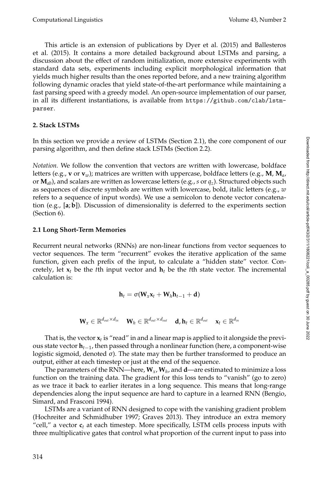This article is an extension of publications by Dyer et al. (2015) and Ballesteros et al. (2015). It contains a more detailed background about LSTMs and parsing, a discussion about the effect of random initialization, more extensive experiments with standard data sets, experiments including explicit morphological information that yields much higher results than the ones reported before, and a new training algorithm following dynamic oracles that yield state-of-the-art performance while maintaining a fast parsing speed with a greedy model. An open-source implementation of our parser, in all its different instantiations, is available from https://github.com/clab/lstmparser.

## **2. Stack LSTMs**

In this section we provide a review of LSTMs (Section 2.1), the core component of our parsing algorithm, and then define stack LSTMs (Section 2.2).

*Notation.* We follow the convention that vectors are written with lowercase, boldface letters (e.g., **v** or **v***w*); matrices are written with uppercase, boldface letters (e.g., **M**, **M***<sup>a</sup>* , or **M***ab*), and scalars are written as lowercase letters (e.g., *s* or *q<sup>z</sup>* ). Structured objects such as sequences of discrete symbols are written with lowercase, bold, italic letters (e.g., *w* refers to a sequence of input words). We use a semicolon to denote vector concatenation (e.g., [**a**; **b**]). Discussion of dimensionality is deferred to the experiments section (Section 6).

## **2.1 Long Short-Term Memories**

Recurrent neural networks (RNNs) are non-linear functions from vector sequences to vector sequences. The term "recurrent" evokes the iterative application of the same function, given each prefix of the input, to calculate a "hidden state" vector. Concretely, let  $x_t$  be the *t*th input vector and  $h_t$  be the *t*th state vector. The incremental calculation is:

$$
\boldsymbol{h}_t = \sigma(\boldsymbol{W}_x \boldsymbol{x}_t + \boldsymbol{W}_h \boldsymbol{h}_{t-1} + \boldsymbol{d})
$$

$$
\mathbf{W}_{\text{x}} \in \mathbb{R}^{d_{out} \times d_{in}} \quad \mathbf{W}_{h} \in \mathbb{R}^{d_{out} \times d_{out}} \quad \mathbf{d}, \mathbf{h}_{t} \in \mathbb{R}^{d_{out}} \quad \mathbf{x}_{t} \in \mathbb{R}^{d_{in}}
$$

That is, the vector  $\mathbf{x}_t$  is "read" in and a linear map is applied to it alongside the previous state vector **h***t*−<sup>1</sup> , then passed through a nonlinear function (here, a component-wise logistic sigmoid, denoted σ). The state may then be further transformed to produce an output, either at each timestep or just at the end of the sequence.

The parameters of the RNN—here,  $\mathbf{W}_{x}$ ,  $\mathbf{W}_{h}$ , and  $\mathbf{d}$ —are estimated to minimize a loss function on the training data. The gradient for this loss tends to "vanish" (go to zero) as we trace it back to earlier iterates in a long sequence. This means that long-range dependencies along the input sequence are hard to capture in a learned RNN (Bengio, Simard, and Frasconi 1994).

LSTMs are a variant of RNN designed to cope with the vanishing gradient problem (Hochreiter and Schmidhuber 1997; Graves 2013). They introduce an extra memory "cell," a vector  $c_t$  at each timestep. More specifically, LSTM cells process inputs with three multiplicative gates that control what proportion of the current input to pass into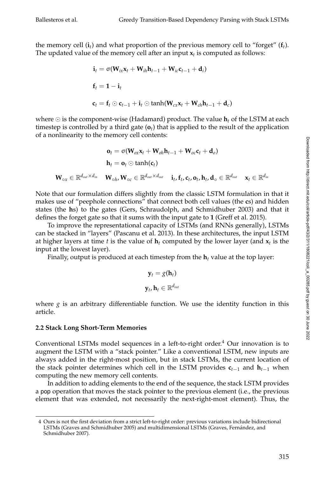the memory cell  $(i_t)$  and what proportion of the previous memory cell to "forget"  $(f_t)$ . The updated value of the memory cell after an input **x***<sup>t</sup>* is computed as follows:

$$
\mathbf{i}_t = \sigma(\mathbf{W}_{ix}\mathbf{x}_t + \mathbf{W}_{ih}\mathbf{h}_{t-1} + \mathbf{W}_{ic}\mathbf{c}_{t-1} + \mathbf{d}_i)
$$
\n
$$
\mathbf{f}_t = \mathbf{1} - \mathbf{i}_t
$$
\n
$$
\mathbf{c}_t = \mathbf{f}_t \odot \mathbf{c}_{t-1} + \mathbf{i}_t \odot \tanh(\mathbf{W}_{cx}\mathbf{x}_t + \mathbf{W}_{ch}\mathbf{h}_{t-1} + \mathbf{d}_c)
$$

where  $\odot$  is the component-wise (Hadamard) product. The value  $\mathbf{h}_t$  of the LSTM at each timestep is controlled by a third gate  $(\mathbf{o}_t)$  that is applied to the result of the application of a nonlinearity to the memory cell contents:

$$
\mathbf{o}_t = \sigma(\mathbf{W}_{ox}\mathbf{x}_t + \mathbf{W}_{oh}\mathbf{h}_{t-1} + \mathbf{W}_{oc}\mathbf{c}_t + \mathbf{d}_o)
$$

$$
\mathbf{h}_t = \mathbf{o}_t \odot \tanh(\mathbf{c}_t)
$$

$$
\mathbf{W}_{ox} \in \mathbb{R}^{d_{out} \times d_{in}} \quad \mathbf{W}_{oh}, \mathbf{W}_{oc} \in \mathbb{R}^{d_{out} \times d_{out}} \quad \mathbf{i}_t, \mathbf{f}_t, \mathbf{c}_t, \mathbf{o}_t, \mathbf{h}_t, \mathbf{d}_o \in \mathbb{R}^{d_{out}} \quad \mathbf{x}_t \in \mathbb{R}^{d_{in}}
$$

Note that our formulation differs slightly from the classic LSTM formulation in that it makes use of "peephole connections" that connect both cell values (the **c**s) and hidden states (the **h**s) to the gates (Gers, Schraudolph, and Schmidhuber 2003) and that it defines the forget gate so that it sums with the input gate to **1** (Greff et al. 2015).

To improve the representational capacity of LSTMs (and RNNs generally), LSTMs can be stacked in "layers" (Pascanu et al. 2013). In these architectures, the input LSTM at higher layers at time *t* is the value of **h***<sup>t</sup>* computed by the lower layer (and **x***<sup>t</sup>* is the input at the lowest layer).

Finally, output is produced at each timestep from the  $h_t$  value at the top layer:

$$
\mathbf{y}_t = g(\mathbf{h}_t)
$$
  

$$
\mathbf{y}_t, \mathbf{h}_t \in \mathbb{R}^{d_{out}}
$$

where  $g$  is an arbitrary differentiable function. We use the identity function in this article.

#### **2.2 Stack Long Short-Term Memories**

Conventional LSTMs model sequences in a left-to-right order.<sup>4</sup> Our innovation is to augment the LSTM with a "stack pointer." Like a conventional LSTM, new inputs are always added in the right-most position, but in stack LSTMs, the current location of the stack pointer determines which cell in the LSTM provides **c***t*−<sup>1</sup> and **h***t*−<sup>1</sup> when computing the new memory cell contents.

In addition to adding elements to the end of the sequence, the stack LSTM provides a pop operation that moves the stack pointer to the previous element (i.e., the previous element that was extended, not necessarily the next-right-most element). Thus, the

<sup>4</sup> Ours is not the first deviation from a strict left-to-right order: previous variations include bidirectional LSTMs (Graves and Schmidhuber 2005) and multidimensional LSTMs (Graves, Fernandez, and ´ Schmidhuber 2007).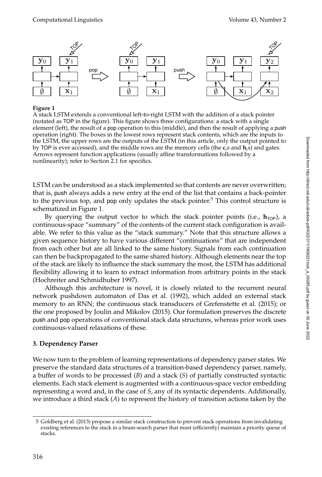

A stack LSTM extends a conventional left-to-right LSTM with the addition of a stack pointer (notated as TOP in the figure). This figure shows three configurations: a stack with a single element (left), the result of a pop operation to this (middle), and then the result of applying a push operation (right). The boxes in the lowest rows represent stack contents, which are the inputs to the LSTM, the upper rows are the outputs of the LSTM (in this article, only the output pointed to by TOP is ever accessed), and the middle rows are the memory cells (the  $c_t$ s and  $h_t$ s) and gates. Arrows represent function applications (usually affine transformations followed by a nonlinearity); refer to Section 2.1 for specifics.

LSTM can be understood as a stack implemented so that contents are never overwritten; that is, push always adds a new entry at the end of the list that contains a back-pointer to the previous top, and pop only updates the stack pointer.<sup>5</sup> This control structure is schematized in Figure 1.

By querying the output vector to which the stack pointer points (i.e.,  $h_{\text{TOP}}$ ), a continuous-space "summary" of the contents of the current stack configuration is available. We refer to this value as the "stack summary." Note that this structure allows a given sequence history to have various different "continuations" that are independent from each other but are all linked to the same history. Signals from each continuation can then be backpropagated to the same shared history. Although elements near the top of the stack are likely to influence the stack summary the most, the LSTM has additional flexibility allowing it to learn to extract information from arbitrary points in the stack (Hochreiter and Schmidhuber 1997).

Although this architecture is novel, it is closely related to the recurrent neural network pushdown automaton of Das et al. (1992), which added an external stack memory to an RNN; the continuous stack transducers of Grefenstette et al. (2015); or the one proposed by Joulin and Mikolov (2015). Our formulation preserves the discrete push and pop operations of conventional stack data structures, whereas prior work uses continuous-valued relaxations of these.

## **3. Dependency Parser**

We now turn to the problem of learning representations of dependency parser states. We preserve the standard data structures of a transition-based dependency parser, namely, a buffer of words to be processed (*B*) and a stack (*S*) of partially constructed syntactic elements. Each stack element is augmented with a continuous-space vector embedding representing a word and, in the case of *S*, any of its syntactic dependents. Additionally, we introduce a third stack (*A*) to represent the history of transition actions taken by the

<sup>5</sup> Goldberg et al. (2013) propose a similar stack construction to prevent stack operations from invalidating existing references to the stack in a beam-search parser that must (efficiently) maintain a priority queue of stacks.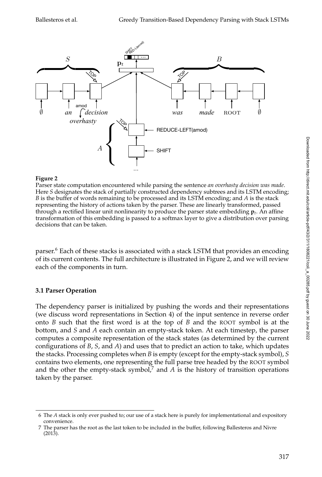

Parser state computation encountered while parsing the sentence *an overhasty decision was made*. Here *S* designates the stack of partially constructed dependency subtrees and its LSTM encoding; *B* is the buffer of words remaining to be processed and its LSTM encoding; and *A* is the stack representing the history of actions taken by the parser. These are linearly transformed, passed through a rectified linear unit nonlinearity to produce the parser state embedding **p***<sup>t</sup>* . An affine transformation of this embedding is passed to a softmax layer to give a distribution over parsing decisions that can be taken.

parser.<sup>6</sup> Each of these stacks is associated with a stack LSTM that provides an encoding of its current contents. The full architecture is illustrated in Figure 2, and we will review each of the components in turn.

#### **3.1 Parser Operation**

The dependency parser is initialized by pushing the words and their representations (we discuss word representations in Section 4) of the input sentence in reverse order onto *B* such that the first word is at the top of *B* and the ROOT symbol is at the bottom, and *S* and *A* each contain an empty-stack token. At each timestep, the parser computes a composite representation of the stack states (as determined by the current configurations of *B*, *S*, and *A*) and uses that to predict an action to take, which updates the stacks. Processing completes when *B* is empty (except for the empty-stack symbol), *S* contains two elements, one representing the full parse tree headed by the ROOT symbol and the other the empty-stack symbol,<sup>7</sup> and  $A$  is the history of transition operations taken by the parser.

<sup>6</sup> The *A* stack is only ever pushed to; our use of a stack here is purely for implementational and expository convenience.

<sup>7</sup> The parser has the root as the last token to be included in the buffer, following Ballesteros and Nivre (2013).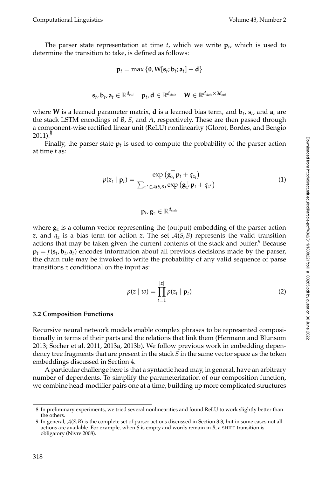The parser state representation at time *t*, which we write **p***<sup>t</sup>* , which is used to determine the transition to take, is defined as follows:

$$
\mathbf{p}_t = \max \left\{ \mathbf{0}, \mathbf{W}[\mathbf{s}_t; \mathbf{b}_t; \mathbf{a}_t] + \mathbf{d} \right\}
$$
  

$$
\mathbf{s}_t, \mathbf{b}_t, \mathbf{a}_t \in \mathbb{R}^{d_{out}} \quad \mathbf{p}_t, \mathbf{d} \in \mathbb{R}^{d_{state}} \quad \mathbf{W} \in \mathbb{R}^{d_{state} \times 3d_{out}}
$$

where **W** is a learned parameter matrix, **d** is a learned bias term, and **b***<sup>t</sup>* , **s***<sup>t</sup>* , and **a***<sup>t</sup>* are the stack LSTM encodings of *B*, *S*, and *A*, respectively. These are then passed through a component-wise rectified linear unit (ReLU) nonlinearity (Glorot, Bordes, and Bengio  $2011$ <sup>8</sup>

Finally, the parser state  $\boldsymbol{p}_t$  is used to compute the probability of the parser action at time *t* as:

$$
p(z_t | \mathbf{p}_t) = \frac{\exp\left(\mathbf{g}_{z_t}^{\top} \mathbf{p}_t + q_{z_t}\right)}{\sum_{z' \in A(S, B)} \exp\left(\mathbf{g}_{z'}^{\top} \mathbf{p}_t + q_{z'}\right)}
$$
(1)

$$
\mathbf{p}_t, \mathbf{g}_z \in \mathbb{R}^{d_{state}}
$$

where **g***<sup>z</sup>* is a column vector representing the (output) embedding of the parser action *z*, and  $q_z$  is a bias term for action *z*. The set  $A(S, B)$  represents the valid transition actions that may be taken given the current contents of the stack and buffer.<sup>9</sup> Because  ${\bf p}_t = f({\bf s}_t, {\bf b}_t, {\bf a}_t)$  encodes information about all previous decisions made by the parser, the chain rule may be invoked to write the probability of any valid sequence of parse transitions *z* conditional on the input as:

$$
p(z \mid w) = \prod_{t=1}^{|z|} p(z_t \mid \mathbf{p}_t)
$$
 (2)

#### **3.2 Composition Functions**

Recursive neural network models enable complex phrases to be represented compositionally in terms of their parts and the relations that link them (Hermann and Blunsom 2013; Socher et al. 2011, 2013a, 2013b). We follow previous work in embedding dependency tree fragments that are present in the stack *S* in the same vector space as the token embeddings discussed in Section 4.

A particular challenge here is that a syntactic head may, in general, have an arbitrary number of dependents. To simplify the parameterization of our composition function, we combine head-modifier pairs one at a time, building up more complicated structures

<sup>8</sup> In preliminary experiments, we tried several nonlinearities and found ReLU to work slightly better than the others.

<sup>9</sup> In general, A(*S*, *B*) is the complete set of parser actions discussed in Section 3.3, but in some cases not all actions are available. For example, when *S* is empty and words remain in *B*, a SHIFT transition is obligatory (Nivre 2008).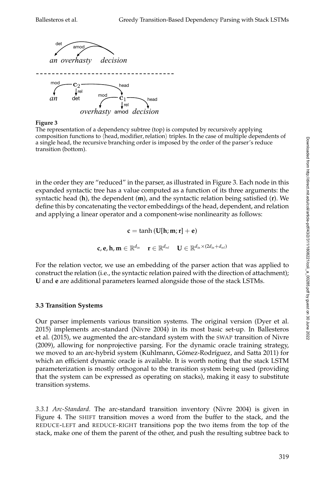

The representation of a dependency subtree (top) is computed by recursively applying composition functions to  $\langle$ head, modifier, relation $\rangle$  triples. In the case of multiple dependents of a single head, the recursive branching order is imposed by the order of the parser's reduce transition (bottom).

in the order they are "reduced" in the parser, as illustrated in Figure 3. Each node in this expanded syntactic tree has a value computed as a function of its three arguments: the syntactic head (**h**), the dependent (**m**), and the syntactic relation being satisfied (**r**). We define this by concatenating the vector embeddings of the head, dependent, and relation and applying a linear operator and a component-wise nonlinearity as follows:

$$
c = \tanh(U[h; m; r] + e)
$$

$$
\mathbf{c},\mathbf{e},\mathbf{h},\mathbf{m}\in\mathbb{R}^{d_{in}}\quad \mathbf{r}\in\mathbb{R}^{d_{rel}}\quad \mathbf{U}\in\mathbb{R}^{d_{in}\times(2d_{in}+d_{rel})}
$$

For the relation vector, we use an embedding of the parser action that was applied to construct the relation (i.e., the syntactic relation paired with the direction of attachment); **U** and **e** are additional parameters learned alongside those of the stack LSTMs.

## **3.3 Transition Systems**

Our parser implements various transition systems. The original version (Dyer et al. 2015) implements arc-standard (Nivre 2004) in its most basic set-up. In Ballesteros et al. (2015), we augmented the arc-standard system with the SWAP transition of Nivre (2009), allowing for nonprojective parsing. For the dynamic oracle training strategy, we moved to an arc-hybrid system (Kuhlmann, Gómez-Rodríguez, and Satta 2011) for which an efficient dynamic oracle is available. It is worth noting that the stack LSTM parameterization is mostly orthogonal to the transition system being used (providing that the system can be expressed as operating on stacks), making it easy to substitute transition systems.

*3.3.1 Arc-Standard.* The arc-standard transition inventory (Nivre 2004) is given in Figure 4. The SHIFT transition moves a word from the buffer to the stack, and the REDUCE-LEFT and REDUCE-RIGHT transitions pop the two items from the top of the stack, make one of them the parent of the other, and push the resulting subtree back to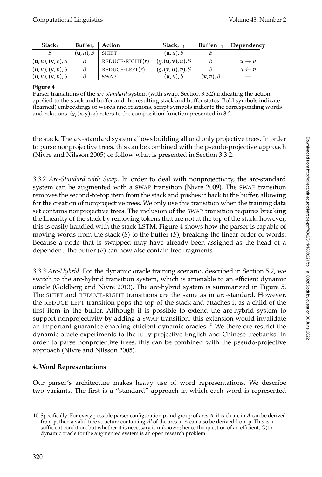| $Stack_t$                                 | $Buffer_{t}$          | Action            | $Stack_{t+1}$                          | Buffer <sub><math>t+1</math></sub> | Dependency                      |
|-------------------------------------------|-----------------------|-------------------|----------------------------------------|------------------------------------|---------------------------------|
|                                           | $(\mathbf{u}, u)$ , B | <b>SHIFT</b>      | $(\mathbf{u}, u)$ , S                  |                                    |                                 |
| $(\mathbf{u}, u)$ , $(\mathbf{v}, v)$ , S | B                     | $REDUCE-RIGHT(r)$ | $(g_r(\mathbf{u}, \mathbf{v}), u)$ , S |                                    | $u \stackrel{I}{\rightarrow} v$ |
| $(\mathbf{u}, u)$ , $(\mathbf{v}, v)$ , S | B                     | $REDUCE-LEFT(r)$  | $(g_r(\mathbf{v}, \mathbf{u}), v), S$  |                                    | $u \leftarrow v$                |
| $(\mathbf{u}, u)$ , $(\mathbf{v}, v)$ , S |                       | SWAP              | $(\mathbf{u}, u)$ , S                  | (v, v), B                          |                                 |

Parser transitions of the *arc-standard* system (with swap, Section 3.3.2) indicating the action applied to the stack and buffer and the resulting stack and buffer states. Bold symbols indicate (learned) embeddings of words and relations, script symbols indicate the corresponding words and relations.  $(g_r(\mathbf{x}, \mathbf{y}), x)$  refers to the composition function presented in 3.2.

the stack. The arc-standard system allows building all and only projective trees. In order to parse nonprojective trees, this can be combined with the pseudo-projective approach (Nivre and Nilsson 2005) or follow what is presented in Section 3.3.2.

*3.3.2 Arc-Standard with Swap.* In order to deal with nonprojectivity, the arc-standard system can be augmented with a SWAP transition (Nivre 2009). The SWAP transition removes the second-to-top item from the stack and pushes it back to the buffer, allowing for the creation of nonprojective trees. We only use this transition when the training data set contains nonprojective trees. The inclusion of the SWAP transition requires breaking the linearity of the stack by removing tokens that are not at the top of the stack; however, this is easily handled with the stack LSTM. Figure 4 shows how the parser is capable of moving words from the stack (*S*) to the buffer (*B*), breaking the linear order of words. Because a node that is swapped may have already been assigned as the head of a dependent, the buffer (*B*) can now also contain tree fragments.

*3.3.3 Arc-Hybrid.* For the dynamic oracle training scenario, described in Section 5.2, we switch to the arc-hybrid transition system, which is amenable to an efficient dynamic oracle (Goldberg and Nivre 2013). The arc-hybrid system is summarized in Figure 5. The SHIFT and REDUCE-RIGHT transitions are the same as in arc-standard. However, the REDUCE-LEFT transition pops the top of the stack and attaches it as a child of the first item in the buffer. Although it is possible to extend the arc-hybrid system to support nonprojectivity by adding a SWAP transition, this extension would invalidate an important guarantee enabling efficient dynamic oracles.<sup>10</sup> We therefore restrict the dynamic-oracle experiments to the fully projective English and Chinese treebanks. In order to parse nonprojective trees, this can be combined with the pseudo-projective approach (Nivre and Nilsson 2005).

## **4. Word Representations**

Our parser's architecture makes heavy use of word representations. We describe two variants. The first is a "standard" approach in which each word is represented

<sup>10</sup> Specifically: For every possible parser configuration **p** and group of arcs *A*, if each arc in *A* can be derived from **p**, then a valid tree structure containing *all* of the arcs in *A* can also be derived from **p**. This is a sufficient condition, but whether it is necessary is unknown; hence the question of an efficient, *O*(1) dynamic oracle for the augmented system is an open research problem.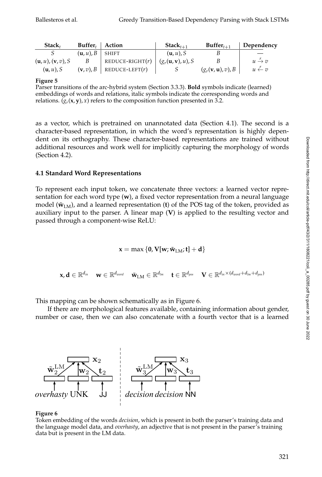| Stack.                                    | $Buffer_{t}$   Action      |                                                          | $Stack_{t+1}$         | Buffer <sub><math>t+1</math></sub>    | Dependency        |
|-------------------------------------------|----------------------------|----------------------------------------------------------|-----------------------|---------------------------------------|-------------------|
|                                           | $(\mathbf{u}, u), B$ SHIFT |                                                          | $(\mathbf{u}, u)$ , S |                                       |                   |
| $(\mathbf{u}, u)$ , $(\mathbf{v}, v)$ , S | B                          | REDUCE-RIGHT $(r)$ $(g_r(\mathbf{u}, \mathbf{v}), u), S$ |                       |                                       | $u \rightarrow v$ |
| $(\mathbf{u}, u)$ , S                     |                            | $(\mathbf{v}, v), B \mid \text{REDUCE-LEFT}(r)$          |                       | $(g_r(\mathbf{v}, \mathbf{u}), v), B$ | $u \leftarrow v$  |

Parser transitions of the arc-hybrid system (Section 3.3.3). **Bold** symbols indicate (learned) embeddings of words and relations, italic symbols indicate the corresponding words and relations. (*g<sup>r</sup>* (**x**, **y**), *x*) refers to the composition function presented in 3.2.

as a vector, which is pretrained on unannotated data (Section 4.1). The second is a character-based representation, in which the word's representation is highly dependent on its orthography. These character-based representations are trained without additional resources and work well for implicitly capturing the morphology of words (Section 4.2).

## **4.1 Standard Word Representations**

To represent each input token, we concatenate three vectors: a learned vector representation for each word type (**w**), a fixed vector representation from a neural language model ( $\tilde{\mathbf{w}}_{LM}$ ), and a learned representation (**t**) of the POS tag of the token, provided as auxiliary input to the parser. A linear map (**V**) is applied to the resulting vector and passed through a component-wise ReLU:

$$
x = \max\left\{0, V[w; \tilde{w}_{LM}; t] + d\right\}
$$

 $\mathbf{x}, \mathbf{d} \in \mathbb{R}^{d_{in}}$  **w**  $\in \mathbb{R}$  $\tilde{\mathbf{w}}_{\text{LM}} \in \mathbb{R}^{d_{lm}}$  $\mathbf{t} \in \mathbb{R}^{d_{pos}}$  $d_{pos}$  **V**  $\in \mathbb{R}^{d_{in} \times (d_{word} + d_{lm} + d_{pos})}$ 

This mapping can be shown schematically as in Figure 6.

If there are morphological features available, containing information about gender, number or case, then we can also concatenate with a fourth vector that is a learned



#### **Figure 6**

Token embedding of the words *decision*, which is present in both the parser's training data and the language model data, and *overhasty*, an adjective that is not present in the parser's training data but is present in the LM data.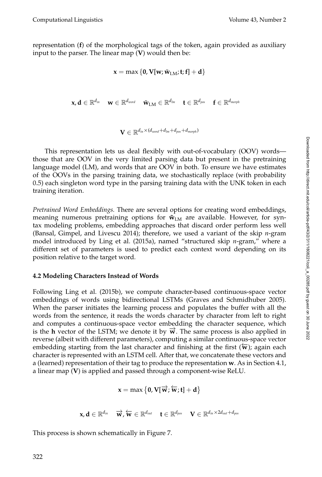representation (**f**) of the morphological tags of the token, again provided as auxiliary input to the parser. The linear map (**V**) would then be:

 $\mathbf{x} = \max\{0, \mathbf{V}[\mathbf{w}; \tilde{\mathbf{w}}_{LM}; \mathbf{t}; \mathbf{f}]\} + \mathbf{d}\}\$ 

 $\mathbf{x}, \mathbf{d} \in \mathbb{R}^{d_{in}}$   $\mathbf{w} \in \mathbb{R}^{d_{word}}$   $\mathbf{\tilde{w}}_{\text{LM}} \in \mathbb{R}^{d_{lm}}$   $\mathbf{t} \in \mathbb{R}^{d_{pos}}$   $\mathbf{f} \in \mathbb{R}^{d_{morph}}$ 

 $\mathbf{V} \in \mathbb{R}^{d_{in} \times (d_{word} + d_{lm} + d_{pos} + d_{morph})}$ 

This representation lets us deal flexibly with out-of-vocabulary (OOV) words those that are OOV in the very limited parsing data but present in the pretraining language model (LM), and words that are OOV in both. To ensure we have estimates of the OOVs in the parsing training data, we stochastically replace (with probability 0.5) each singleton word type in the parsing training data with the UNK token in each training iteration.

*Pretrained Word Embeddings.* There are several options for creating word embeddings, meaning numerous pretraining options for  $\tilde{w}_{LM}$  are available. However, for syntax modeling problems, embedding approaches that discard order perform less well (Bansal, Gimpel, and Livescu 2014); therefore, we used a variant of the skip *n*-gram model introduced by Ling et al. (2015a), named "structured skip *n*-gram," where a different set of parameters is used to predict each context word depending on its position relative to the target word.

#### **4.2 Modeling Characters Instead of Words**

Following Ling et al. (2015b), we compute character-based continuous-space vector embeddings of words using bidirectional LSTMs (Graves and Schmidhuber 2005). When the parser initiates the learning process and populates the buffer with all the words from the sentence, it reads the words character by character from left to right and computes a continuous-space vector embedding the character sequence, which is the **h** vector of the LSTM; we denote it by  $\vec{w}$ . The same process is also applied in reverse (albeit with different parameters), computing a similar continuous-space vector embedding starting from the last character and finishing at the first ( $\overline{w}$ ); again each character is represented with an LSTM cell. After that, we concatenate these vectors and a (learned) representation of their tag to produce the representation **w**. As in Section 4.1, a linear map (**V**) is applied and passed through a component-wise ReLU.

$$
x = \max\left\{0, V[\overrightarrow{w}; \overleftarrow{w}; t] + d\right\}
$$

$$
\mathbf{x}, \mathbf{d} \in \mathbb{R}^{d_{in}} \quad \overrightarrow{\mathbf{w}}, \overleftarrow{\mathbf{w}} \in \mathbb{R}^{d_{out}} \quad \mathbf{t} \in \mathbb{R}^{d_{pos}} \quad \mathbf{V} \in \mathbb{R}^{d_{in} \times 2d_{out} + d_{pos}}
$$

This process is shown schematically in Figure 7.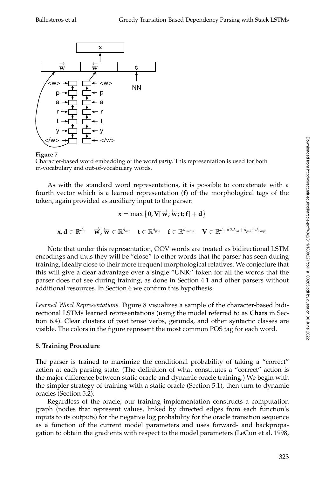

Character-based word embedding of the word *party*. This representation is used for both in-vocabulary and out-of-vocabulary words.

As with the standard word representations, it is possible to concatenate with a fourth vector which is a learned representation (**f**) of the morphological tags of the token, again provided as auxiliary input to the parser:

$$
\mathbf{x} = \max\left\{\mathbf{0}, \mathbf{V}[\overrightarrow{\mathbf{w}}; \overleftarrow{\mathbf{w}}; \mathbf{t}; \mathbf{f}] + \mathbf{d}\right\}
$$

$$
\mathbf{x}, \mathbf{d} \in \mathbb{R}^{d_{in}} \quad \overrightarrow{\mathbf{w}}, \overleftarrow{\mathbf{w}} \in \mathbb{R}^{d_{out}} \quad \mathbf{t} \in \mathbb{R}^{d_{pos}} \quad \mathbf{f} \in \mathbb{R}^{d_{morph}} \quad \mathbf{V} \in \mathbb{R}^{d_{in} \times 2d_{out} + d_{pos} + d_{morph}}
$$

Note that under this representation, OOV words are treated as bidirectional LSTM encodings and thus they will be "close" to other words that the parser has seen during training, ideally close to their more frequent morphological relatives. We conjecture that this will give a clear advantage over a single "UNK" token for all the words that the parser does not see during training, as done in Section 4.1 and other parsers without additional resources. In Section 6 we confirm this hypothesis.

*Learned Word Representations.* Figure 8 visualizes a sample of the character-based bidirectional LSTMs learned representations (using the model referred to as **Chars** in Section 6.4). Clear clusters of past tense verbs, gerunds, and other syntactic classes are visible. The colors in the figure represent the most common POS tag for each word.

## **5. Training Procedure**

The parser is trained to maximize the conditional probability of taking a "correct" action at each parsing state. (The definition of what constitutes a "correct" action is the major difference between static oracle and dynamic oracle training.) We begin with the simpler strategy of training with a static oracle (Section 5.1), then turn to dynamic oracles (Section 5.2).

Regardless of the oracle, our training implementation constructs a computation graph (nodes that represent values, linked by directed edges from each function's inputs to its outputs) for the negative log probability for the oracle transition sequence as a function of the current model parameters and uses forward- and backpropagation to obtain the gradients with respect to the model parameters (LeCun et al. 1998,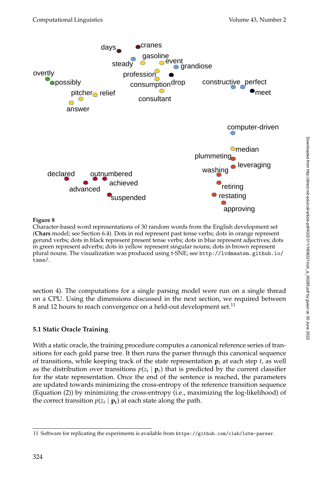

Character-based word representations of 30 random words from the English development set (**Chars** model; see Section 6.4). Dots in red represent past tense verbs; dots in orange represent gerund verbs; dots in black represent present tense verbs; dots in blue represent adjectives; dots in green represent adverbs; dots in yellow represent singular nouns; dots in brown represent plural nouns. The visualization was produced using t-SNE; see http://lvdmaaten.github.io/ tsne/.

section 4). The computations for a single parsing model were run on a single thread on a CPU. Using the dimensions discussed in the next section, we required between 8 and 12 hours to reach convergence on a held-out development set.<sup>11</sup>

## **5.1 Static Oracle Training**

With a static oracle, the training procedure computes a canonical reference series of transitions for each gold parse tree. It then runs the parser through this canonical sequence of transitions, while keeping track of the state representation  $\mathbf{p}_t$  at each step *t*, as well as the distribution over transitions  $p(z_t | p_t)$  that is predicted by the current classifier for the state representation. Once the end of the sentence is reached, the parameters are updated towards minimizing the cross-entropy of the reference transition sequence (Equation (2)) by minimizing the cross-entropy (i.e., maximizing the log-likelihood) of the correct transition  $p(z_t | p_t)$  at each state along the path.

<sup>11</sup> Software for replicating the experiments is available from https://github.com/clab/lstm-parser.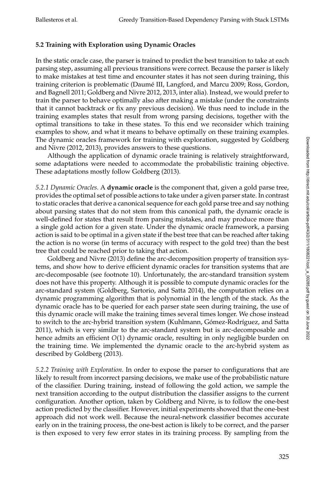## **5.2 Training with Exploration using Dynamic Oracles**

In the static oracle case, the parser is trained to predict the best transition to take at each parsing step, assuming all previous transitions were correct. Because the parser is likely to make mistakes at test time and encounter states it has not seen during training, this training criterion is problematic (Daumé III, Langford, and Marcu 2009; Ross, Gordon, and Bagnell 2011; Goldberg and Nivre 2012, 2013, inter alia). Instead, we would prefer to train the parser to behave optimally also after making a mistake (under the constraints that it cannot backtrack or fix any previous decision). We thus need to include in the training examples states that result from wrong parsing decisions, together with the optimal transitions to take in these states. To this end we reconsider which training examples to show, and what it means to behave optimally on these training examples. The dynamic oracles framework for training with exploration, suggested by Goldberg and Nivre (2012, 2013), provides answers to these questions.

Although the application of dynamic oracle training is relatively straightforward, some adaptations were needed to accommodate the probabilistic training objective. These adaptations mostly follow Goldberg (2013).

*5.2.1 Dynamic Oracles.* A **dynamic oracle** is the component that, given a gold parse tree, provides the optimal set of possible actions to take under a given parser state. In contrast to static oracles that derive a canonical sequence for each gold parse tree and say nothing about parsing states that do not stem from this canonical path, the dynamic oracle is well-defined for states that result from parsing mistakes, and may produce more than a single gold action for a given state. Under the dynamic oracle framework, a parsing action is said to be optimal in a given state if the best tree that can be reached after taking the action is no worse (in terms of accuracy with respect to the gold tree) than the best tree that could be reached prior to taking that action.

Goldberg and Nivre (2013) define the arc-decomposition property of transition systems, and show how to derive efficient dynamic oracles for transition systems that are arc-decomposable (see footnote 10). Unfortunately, the arc-standard transition system does not have this property. Although it is possible to compute dynamic oracles for the arc-standard system (Goldberg, Sartorio, and Satta 2014), the computation relies on a dynamic programming algorithm that is polynomial in the length of the stack. As the dynamic oracle has to be queried for each parser state seen during training, the use of this dynamic oracle will make the training times several times longer. We chose instead to switch to the arc-hybrid transition system (Kuhlmann, Gómez-Rodríguez, and Satta 2011), which is very similar to the arc-standard system but is arc-decomposable and hence admits an efficient *O*(1) dynamic oracle, resulting in only negligible burden on the training time. We implemented the dynamic oracle to the arc-hybrid system as described by Goldberg (2013).

*5.2.2 Training with Exploration.* In order to expose the parser to configurations that are likely to result from incorrect parsing decisions, we make use of the probabilistic nature of the classifier. During training, instead of following the gold action, we sample the next transition according to the output distribution the classifier assigns to the current configuration. Another option, taken by Goldberg and Nivre, is to follow the one-best action predicted by the classifier. However, initial experiments showed that the one-best approach did not work well. Because the neural-network classifier becomes accurate early on in the training process, the one-best action is likely to be correct, and the parser is then exposed to very few error states in its training process. By sampling from the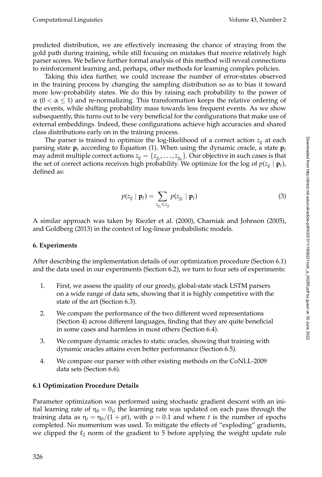predicted distribution, we are effectively increasing the chance of straying from the gold path during training, while still focusing on mistakes that receive relatively high parser scores. We believe further formal analysis of this method will reveal connections to reinforcement learning and, perhaps, other methods for learning complex policies.

Taking this idea further, we could increase the number of error-states observed in the training process by changing the sampling distribution so as to bias it toward more low-probability states. We do this by raising each probability to the power of  $\alpha$  (0  $\lt \alpha \leq$  1) and re-normalizing. This transformation keeps the relative ordering of the events, while shifting probability mass towards less frequent events. As we show subsequently, this turns out to be very beneficial for the configurations that make use of external embeddings. Indeed, these configurations achieve high accuracies and shared class distributions early on in the training process.

The parser is trained to optimize the log-likelihood of a correct action  $z_g$  at each parsing state  $\mathbf{p}_t$  according to Equation (1). When using the dynamic oracle, a state  $\mathbf{p}_t$ may admit multiple correct actions  $z_g = \{z_{g_i}, \ldots, z_{g_k}\}$ . Our objective in such cases is that the set of correct actions receives high probability. We optimize for the log of  $p(z_g | p_t)$ , defined as:

$$
p(z_g \mid \mathbf{p}_t) = \sum_{z_{g_i} \in z_g} p(z_{g_i} \mid \mathbf{p}_t)
$$
\n(3)

A similar approach was taken by Riezler et al. (2000), Charniak and Johnson (2005), and Goldberg (2013) in the context of log-linear probabilistic models.

#### **6. Experiments**

After describing the implementation details of our optimization procedure (Section 6.1) and the data used in our experiments (Section 6.2), we turn to four sets of experiments:

- 1. First, we assess the quality of our greedy, global-state stack LSTM parsers on a wide range of data sets, showing that it is highly competitive with the state of the art (Section 6.3).
- 2. We compare the performance of the two different word representations (Section 4) across different languages, finding that they are quite beneficial in some cases and harmless in most others (Section 6.4).
- 3. We compare dynamic oracles to static oracles, showing that training with dynamic oracles attains even better performance (Section 6.5).
- 4. We compare our parser with other existing methods on the CoNLL-2009 data sets (Section 6.6).

## **6.1 Optimization Procedure Details**

Parameter optimization was performed using stochastic gradient descent with an initial learning rate of  $\eta_0 = 0_1$ ; the learning rate was updated on each pass through the training data as  $η_t = η_0/(1 + ρt)$ , with  $ρ = 0.1$  and where *t* is the number of epochs completed. No momentum was used. To mitigate the effects of "exploding" gradients, we clipped the  $\ell_2$  norm of the gradient to 5 before applying the weight update rule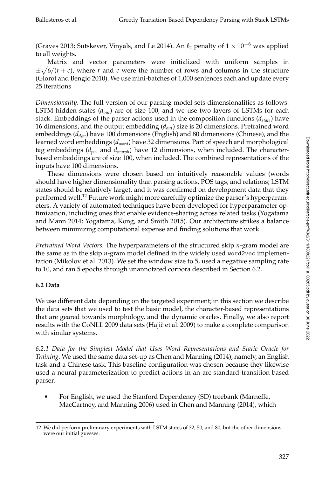(Graves 2013; Sutskever, Vinyals, and Le 2014). An  $\ell_2$  penalty of  $1 \times 10^{-6}$  was applied to all weights.

Matrix and vector parameters were initialized with uniform samples in  $\pm \sqrt{6/(r+c)}$ , where *r* and *c* were the number of rows and columns in the structure (Glorot and Bengio 2010). We use mini-batches of 1,000 sentences each and update every 25 iterations.

*Dimensionality.* The full version of our parsing model sets dimensionalities as follows. LSTM hidden states (*dout*) are of size 100, and we use two layers of LSTMs for each stack. Embeddings of the parser actions used in the composition functions (*dstate*) have 16 dimensions, and the output embedding (*dout*) size is 20 dimensions. Pretrained word embeddings (*d<sup>d</sup>l<sup>m</sup>*) have 100 dimensions (English) and 80 dimensions (Chinese), and the learned word embeddings (*dword*) have 32 dimensions. Part of speech and morphological tag embeddings (*dpos* and *dmorph*) have 12 dimensions, when included. The characterbased embeddings are of size 100, when included. The combined representations of the inputs have 100 dimensions.

These dimensions were chosen based on intuitively reasonable values (words should have higher dimensionality than parsing actions, POS tags, and relations; LSTM states should be relatively large), and it was confirmed on development data that they performed well.<sup>12</sup> Future work might more carefully optimize the parser's hyperparameters. A variety of automated techniques have been developed for hyperparameter optimization, including ones that enable evidence-sharing across related tasks (Yogatama and Mann 2014; Yogatama, Kong, and Smith 2015). Our architecture strikes a balance between minimizing computational expense and finding solutions that work.

*Pretrained Word Vectors.* The hyperparameters of the structured skip *n*-gram model are the same as in the skip *n*-gram model defined in the widely used word2vec implementation (Mikolov et al. 2013). We set the window size to 5, used a negative sampling rate to 10, and ran 5 epochs through unannotated corpora described in Section 6.2.

## **6.2 Data**

We use different data depending on the targeted experiment; in this section we describe the data sets that we used to test the basic model, the character-based representations that are geared towards morphology, and the dynamic oracles. Finally, we also report results with the CoNLL 2009 data sets (Hajič et al. 2009) to make a complete comparison with similar systems.

*6.2.1 Data for the Simplest Model that Uses Word Representations and Static Oracle for Training.* We used the same data set-up as Chen and Manning (2014), namely, an English task and a Chinese task. This baseline configuration was chosen because they likewise used a neural parameterization to predict actions in an arc-standard transition-based parser.

r For English, we used the Stanford Dependency (SD) treebank (Marneffe, MacCartney, and Manning 2006) used in Chen and Manning (2014), which

<sup>12</sup> We did perform preliminary experiments with LSTM states of 32, 50, and 80, but the other dimensions were our initial guesses.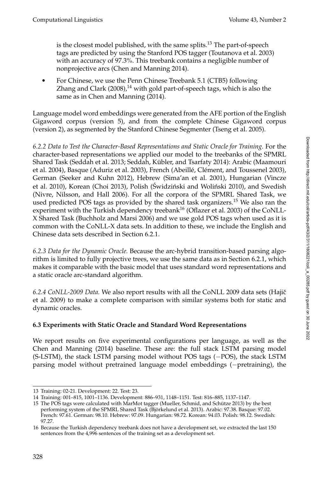is the closest model published, with the same splits. $^{13}$  The part-of-speech tags are predicted by using the Stanford POS tagger (Toutanova et al. 2003) with an accuracy of 97.3%. This treebank contains a negligible number of nonprojective arcs (Chen and Manning 2014).

• For Chinese, we use the Penn Chinese Treebank 5.1 (CTB5) following Zhang and Clark  $(2008)^{14}$  with gold part-of-speech tags, which is also the same as in Chen and Manning (2014).

Language model word embeddings were generated from the AFE portion of the English Gigaword corpus (version 5), and from the complete Chinese Gigaword corpus (version 2), as segmented by the Stanford Chinese Segmenter (Tseng et al. 2005).

*6.2.2 Data to Test the Character-Based Representations and Static Oracle for Training.* For the character-based representations we applied our model to the treebanks of the SPMRL Shared Task (Seddah et al. 2013; Seddah, Kubler, and Tsarfaty 2014): Arabic (Maamouri ¨ et al. 2004), Basque (Aduriz et al. 2003), French (Abeillé, Clément, and Toussenel 2003), German (Seeker and Kuhn 2012), Hebrew (Sima'an et al. 2001), Hungarian (Vincze et al. 2010), Korean (Choi 2013), Polish (Świdziński and Woliński 2010), and Swedish (Nivre, Nilsson, and Hall 2006). For all the corpora of the SPMRL Shared Task, we used predicted POS tags as provided by the shared task organizers.<sup>15</sup> We also ran the experiment with the Turkish dependency treebank<sup>16</sup> (Oflazer et al. 2003) of the CoNLL-X Shared Task (Buchholz and Marsi 2006) and we use gold POS tags when used as it is common with the CoNLL-X data sets. In addition to these, we include the English and Chinese data sets described in Section 6.2.1.

*6.2.3 Data for the Dynamic Oracle.* Because the arc-hybrid transition-based parsing algorithm is limited to fully projective trees, we use the same data as in Section 6.2.1, which makes it comparable with the basic model that uses standard word representations and a static oracle arc-standard algorithm.

6.2.4 CoNLL-2009 Data. We also report results with all the CoNLL 2009 data sets (Hajič et al. 2009) to make a complete comparison with similar systems both for static and dynamic oracles.

## **6.3 Experiments with Static Oracle and Standard Word Representations**

We report results on five experimental configurations per language, as well as the Chen and Manning (2014) baseline. These are: the full stack LSTM parsing model (S-LSTM), the stack LSTM parsing model without POS tags (−POS), the stack LSTM parsing model without pretrained language model embeddings (−pretraining), the

<sup>13</sup> Training: 02-21. Development: 22. Test: 23.

<sup>14</sup> Training: 001–815, 1001–1136. Development: 886–931, 1148–1151. Test: 816–885, 1137–1147.

<sup>15</sup> The POS tags were calculated with MarMot tagger (Mueller, Schmid, and Schutze 2013) by the best ¨ performing system of the SPMRL Shared Task (Bjorkelund et al. 2013). Arabic: 97.38. Basque: 97.02. ¨ French: 97.61. German: 98.10. Hebrew: 97.09. Hungarian: 98.72. Korean: 94.03. Polish: 98.12. Swedish: 97.27.

<sup>16</sup> Because the Turkish dependency treebank does not have a development set, we extracted the last 150 sentences from the 4,996 sentences of the training set as a development set.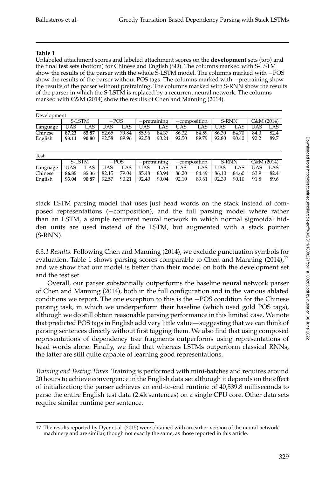Unlabeled attachment scores and labeled attachment scores on the **development** sets (top) and the final **test** sets (bottom) for Chinese and English (SD). The columns marked with S-LSTM show the results of the parser with the whole S-LSTM model. The columns marked with −POS show the results of the parser without POS tags. The columns marked with −pretraining show the results of the parser without pretraining. The columns marked with S-RNN show the results of the parser in which the S-LSTM is replaced by a recurrent neural network. The columns marked with C&M (2014) show the results of Chen and Manning (2014).

| Development                                                                                                |        |        |  |  |                                                                    |                                                                                     |  |  |  |        |
|------------------------------------------------------------------------------------------------------------|--------|--------|--|--|--------------------------------------------------------------------|-------------------------------------------------------------------------------------|--|--|--|--------|
|                                                                                                            | S-LSTM | $-POS$ |  |  | $-$ pretraining $\sim$ -composition $\sim$ S-RNN $\sim$ C&M (2014) |                                                                                     |  |  |  |        |
| Language   UAS LAS   UAS LAS   UAS LAS   UAS LAS   UAS LAS   UAS LAS   UAS LAS                             |        |        |  |  |                                                                    |                                                                                     |  |  |  |        |
| Chinese                                                                                                    |        |        |  |  |                                                                    | $\mid$ 87.23 85.87 $\mid$ 82.65 79.84 85.96 84.37 86.32 84.59 86.30 84.70 84.0 82.4 |  |  |  |        |
| English   $93.11$ $90.80$   $92.58$ $89.96$   $92.58$ $90.24$   $92.50$ $89.79$   $92.80$ $90.40$   $92.2$ |        |        |  |  |                                                                    |                                                                                     |  |  |  | - 89.7 |

| <b>Test</b> |       |        |        |  |                                                         |                              |           |      |
|-------------|-------|--------|--------|--|---------------------------------------------------------|------------------------------|-----------|------|
|             |       | S-LSTM | $-POS$ |  | -pretraining composition S-RNN                          |                              | C&M(2014) |      |
| Language    |       |        |        |  | UAS LAS UAS LAS UAS LAS LAS UAS LAS UAS LAS UAS LAS LAS |                              |           |      |
| Chinese     |       |        |        |  | 86.85 85.36 82.15 79.04 85.48 83.94 86.20               | 84.49   86.10 84.60   83.9   |           | 82.4 |
| English     | 93.04 |        |        |  | <b>90.87</b>   92.57 90.21   92.40 90.04   92.10        | $89.61$   92.30 90.10   91.8 |           | 89.6 |

stack LSTM parsing model that uses just head words on the stack instead of composed representations (−composition), and the full parsing model where rather than an LSTM, a simple recurrent neural network in which normal sigmoidal hidden units are used instead of the LSTM, but augmented with a stack pointer (S-RNN).

*6.3.1 Results.* Following Chen and Manning (2014), we exclude punctuation symbols for evaluation. Table 1 shows parsing scores comparable to Chen and Manning  $(2014)<sup>17</sup>$ and we show that our model is better than their model on both the development set and the test set.

Overall, our parser substantially outperforms the baseline neural network parser of Chen and Manning (2014), both in the full configuration and in the various ablated conditions we report. The one exception to this is the −POS condition for the Chinese parsing task, in which we underperform their baseline (which used gold POS tags), although we do still obtain reasonable parsing performance in this limited case. We note that predicted POS tags in English add very little value—suggesting that we can think of parsing sentences directly without first tagging them. We also find that using composed representations of dependency tree fragments outperforms using representations of head words alone. Finally, we find that whereas LSTMs outperform classical RNNs, the latter are still quite capable of learning good representations.

*Training and Testing Times.* Training is performed with mini-batches and requires around 20 hours to achieve convergence in the English data set although it depends on the effect of initialization; the parser achieves an end-to-end runtime of 40,539.8 milliseconds to parse the entire English test data (2.4k sentences) on a single CPU core. Other data sets require similar runtime per sentence.

<sup>17</sup> The results reported by Dyer et al. (2015) were obtained with an earlier version of the neural network machinery and are similar, though not exactly the same, as those reported in this article.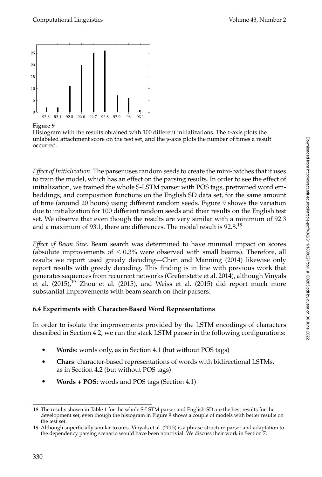

Histogram with the results obtained with 100 different initializations. The *x*-axis plots the unlabeled attachment score on the test set, and the *y*-axis plots the number of times a result occurred.

*Effect of Initialization.* The parser uses random seeds to create the mini-batches that it uses to train the model, which has an effect on the parsing results. In order to see the effect of initialization, we trained the whole S-LSTM parser with POS tags, pretrained word embeddings, and composition functions on the English SD data set, for the same amount of time (around 20 hours) using different random seeds. Figure 9 shows the variation due to initialization for 100 different random seeds and their results on the English test set. We observe that even though the results are very similar with a minimum of 92.3 and a maximum of 93.1, there are differences. The modal result is 92.8.<sup>18</sup>

*Effect of Beam Size.* Beam search was determined to have minimal impact on scores (absolute improvements of  $\leq 0.3\%$  were observed with small beams). Therefore, all results we report used greedy decoding—Chen and Manning (2014) likewise only report results with greedy decoding. This finding is in line with previous work that generates sequences from recurrent networks (Grefenstette et al. 2014), although Vinyals et al.  $(2015)$ ,<sup>19</sup> Zhou et al.  $(2015)$ , and Weiss et al.  $(2015)$  did report much more substantial improvements with beam search on their parsers.

## **6.4 Experiments with Character-Based Word Representations**

In order to isolate the improvements provided by the LSTM encodings of characters described in Section 4.2, we run the stack LSTM parser in the following configurations:

- **Words**: words only, as in Section 4.1 (but without POS tags)
- r **Chars**: character-based representations of words with bidirectional LSTMs, as in Section 4.2 (but without POS tags)
- **Words + POS**: words and POS tags (Section 4.1)

<sup>18</sup> The results shown in Table 1 for the whole S-LSTM parser and English-SD are the best results for the development set, even though the histogram in Figure 9 shows a couple of models with better results on the test set.

<sup>19</sup> Although superficially similar to ours, Vinyals et al. (2015) is a phrase-structure parser and adaptation to the dependency parsing scenario would have been nontrivial. We discuss their work in Section 7.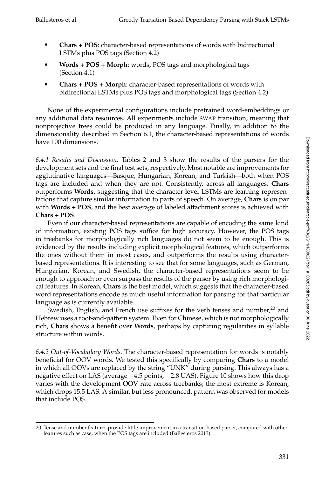- Chars + POS: character-based representations of words with bidirectional LSTMs plus POS tags (Section 4.2)
- Words + POS + Morph: words, POS tags and morphological tags (Section 4.1)
- r **Chars + POS + Morph**: character-based representations of words with bidirectional LSTMs plus POS tags and morphological tags (Section 4.2)

None of the experimental configurations include pretrained word-embeddings or any additional data resources. All experiments include SWAP transition, meaning that nonprojective trees could be produced in any language. Finally, in addition to the dimensionality described in Section 6.1, the character-based representations of words have 100 dimensions.

*6.4.1 Results and Discussion.* Tables 2 and 3 show the results of the parsers for the development sets and the final test sets, respectively. Most notable are improvements for agglutinative languages—Basque, Hungarian, Korean, and Turkish—both when POS tags are included and when they are not. Consistently, across all languages, **Chars** outperforms **Words**, suggesting that the character-level LSTMs are learning representations that capture similar information to parts of speech. On average, **Chars** is on par with **Words + POS**, and the best average of labeled attachment scores is achieved with **Chars + POS**.

Even if our character-based representations are capable of encoding the same kind of information, existing POS tags suffice for high accuracy. However, the POS tags in treebanks for morphologically rich languages do not seem to be enough. This is evidenced by the results including explicit morphological features, which outperforms the ones without them in most cases, and outperforms the results using characterbased representations. It is interesting to see that for some languages, such as German, Hungarian, Korean, and Swedish, the character-based representations seem to be enough to approach or even surpass the results of the parser by using rich morphological features. In Korean, **Chars** is the best model, which suggests that the character-based word representations encode as much useful information for parsing for that particular language as is currently available.

Swedish, English, and French use suffixes for the verb tenses and number, $2^0$  and Hebrew uses a root-and-pattern system. Even for Chinese, which is not morphologically rich, **Chars** shows a benefit over **Words**, perhaps by capturing regularities in syllable structure within words.

*6.4.2 Out-of-Vocabulary Words.* The character-based representation for words is notably beneficial for OOV words. We tested this specifically by comparing **Chars** to a model in which all OOVs are replaced by the string "UNK" during parsing. This always has a negative effect on LAS (average −4.5 points, −2.8 UAS). Figure 10 shows how this drop varies with the development OOV rate across treebanks; the most extreme is Korean, which drops 15.5 LAS. A similar, but less pronounced, pattern was observed for models that include POS.

<sup>20</sup> Tense and number features provide little improvement in a transition-based parser, compared with other features such as case, when the POS tags are included (Ballesteros 2013).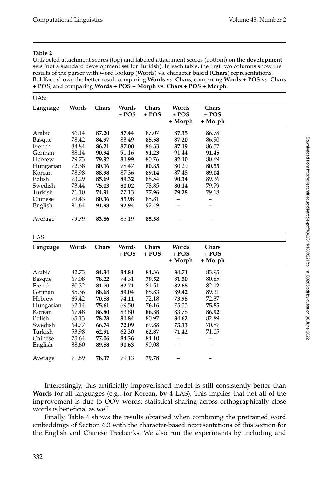Unlabeled attachment scores (top) and labeled attachment scores (bottom) on the **development** sets (not a standard development set for Turkish). In each table, the first two columns show the results of the parser with word lookup (**Words**) vs. character-based (**Chars**) representations. Boldface shows the better result comparing **Words** vs. **Chars**, comparing **Words + POS** vs. **Chars + POS**, and comparing **Words + POS + Morph** vs. **Chars + POS + Morph**.

| UAS:                                                                                                             |                                                                                                 |                                                                                                 |                                                                                                 |                                                                                                 |                                                                                        |                                                                                        |  |
|------------------------------------------------------------------------------------------------------------------|-------------------------------------------------------------------------------------------------|-------------------------------------------------------------------------------------------------|-------------------------------------------------------------------------------------------------|-------------------------------------------------------------------------------------------------|----------------------------------------------------------------------------------------|----------------------------------------------------------------------------------------|--|
| Language                                                                                                         | Words                                                                                           | Chars                                                                                           | Words<br>+ POS                                                                                  | Chars<br>$+ POS$                                                                                | Words<br>$+ POS$<br>+ Morph                                                            | Chars<br>+ POS<br>+ Morph                                                              |  |
| Arabic<br>Basque<br>French<br>German<br>Hebrew<br>Hungarian<br>Korean<br>Polish<br>Swedish<br>Turkish<br>Chinese | 86.14<br>78.42<br>84.84<br>88.14<br>79.73<br>72.38<br>78.98<br>73.29<br>73.44<br>71.10<br>79.43 | 87.20<br>84.97<br>86.21<br>90.94<br>79.92<br>80.16<br>88.98<br>85.69<br>75.03<br>74.91<br>80.36 | 87.44<br>83.49<br>87.00<br>91.16<br>81.99<br>78.47<br>87.36<br>89.32<br>80.02<br>77.13<br>85.98 | 87.07<br>85.58<br>86.33<br>91.23<br>80.76<br>80.85<br>89.14<br>88.54<br>78.85<br>77.96<br>85.81 | 87.35<br>87.20<br>87.19<br>91.44<br>82.10<br>80.29<br>87.48<br>90.34<br>80.14<br>79.28 | 86.78<br>86.90<br>86.57<br>91.45<br>80.69<br>80.55<br>89.04<br>89.36<br>79.79<br>79.18 |  |
| English<br>Average                                                                                               | 91.64<br>79.79                                                                                  | 91.98<br>83.86                                                                                  | 92.94<br>85.19                                                                                  | 92.49<br>85.38                                                                                  |                                                                                        |                                                                                        |  |
| LAS:                                                                                                             |                                                                                                 |                                                                                                 |                                                                                                 |                                                                                                 |                                                                                        |                                                                                        |  |
| Language                                                                                                         | Words                                                                                           | Chars                                                                                           | Words<br>+ POS                                                                                  | Chars<br>$+ POS$                                                                                | Words<br>$+ POS$<br>+ Morph                                                            | Chars<br>+ POS<br>+ Morph                                                              |  |
| Arabic<br>Basque                                                                                                 | 82.73<br>67.08                                                                                  | 84.34<br>78.22                                                                                  | 84.81<br>74.31                                                                                  | 84.36<br>79.52                                                                                  | 84.71<br>81.50                                                                         | 83.95<br>80.85                                                                         |  |

French 80.32 **81.70 82.71** 81.51 **82.68** 82.12 German 85.36 **88.68 89.04** 88.83 **89.42** 89.31 Hebrew 69.42 **70.58 74.11** 72.18 **73.98** 72.37 Hungarian 62.14 **75.61** 69.50 **76.16** 75.55 **75.85** Korean 67.48 **86.80** 83.80 **86.88** 83.78 **86.92** Polish 65.13 **78.23 81.84** 80.97 **84.62** 82.89 Swedish 64.77 **66.74 72.09** 69.88 **73.13** 70.87 Turkish 53.98 **62.91** 62.30 **62.87 71.42** 71.05

Chinese 75.64 77.06 84.36 84.10<br>English 88.60 89.58 90.63 90.08

Average 71.89 **78.37** 79.13 **79.78** – –

Interestingly, this artificially impoverished model is still consistently better than **Words** for all languages (e.g., for Korean, by 4 LAS). This implies that not all of the improvement is due to OOV words; statistical sharing across orthographically close words is beneficial as well.

Finally, Table 4 shows the results obtained when combining the pretrained word embeddings of Section 6.3 with the character-based representations of this section for the English and Chinese Treebanks. We also run the experiments by including and

English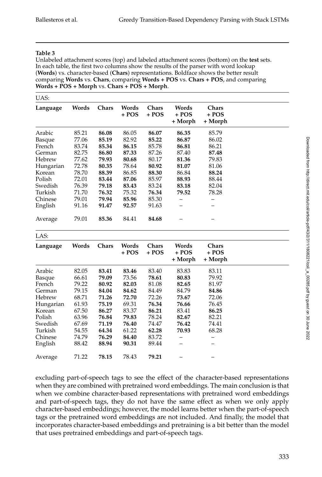Unlabeled attachment scores (top) and labeled attachment scores (bottom) on the **test** sets. In each table, the first two columns show the results of the parser with word lookup (**Words**) vs. character-based (**Chars**) representations. Boldface shows the better result comparing **Words** vs. **Chars**, comparing **Words + POS** vs. **Chars + POS**, and comparing **Words + POS + Morph** vs. **Chars + POS + Morph**.

| UAS:      |       |       |                |                  |                           |                           |  |
|-----------|-------|-------|----------------|------------------|---------------------------|---------------------------|--|
| Language  | Words | Chars | Words<br>+ POS | Chars<br>$+ POS$ | Words<br>+ POS<br>+ Morph | Chars<br>+ POS<br>+ Morph |  |
| Arabic    | 85.21 | 86.08 | 86.05          | 86.07            | 86.35                     | 85.79                     |  |
| Basque    | 77.06 | 85.19 | 82.92          | 85.22            | 86.87                     | 86.02                     |  |
| French    | 83.74 | 85.34 | 86.15          | 85.78            | 86.81                     | 86.21                     |  |
| German    | 82.75 | 86.80 | 87.33          | 87.26            | 87.40                     | 87.48                     |  |
| Hebrew    | 77.62 | 79.93 | 80.68          | 80.17            | 81.36                     | 79.83                     |  |
| Hungarian | 72.78 | 80.35 | 78.64          | 80.92            | 81.07                     | 81.06                     |  |
| Korean    | 78.70 | 88.39 | 86.85          | 88.30            | 86.84                     | 88.24                     |  |
| Polish    | 72.01 | 83.44 | 87.06          | 85.97            | 88.93                     | 88.44                     |  |
| Swedish   | 76.39 | 79.18 | 83.43          | 83.24            | 83.18                     | 82.04                     |  |
| Turkish   | 71.70 | 76.32 | 75.32          | 76.34            | 79.52                     | 78.28                     |  |
| Chinese   | 79.01 | 79.94 | 85.96          | 85.30            |                           |                           |  |
| English   | 91.16 | 91.47 | 92.57          | 91.63            |                           |                           |  |
| Average   | 79.01 | 85.36 | 84.41          | 84.68            |                           |                           |  |

| ۰.<br>-----<br>- -<br>v | u. |
|-------------------------|----|

| Language  | Words | Chars | Words<br>$+ POS$ | Chars<br>$+ POS$ | Words<br>+ POS<br>+ Morph | Chars<br>+ POS<br>+ Morph |  |
|-----------|-------|-------|------------------|------------------|---------------------------|---------------------------|--|
| Arabic    | 82.05 | 83.41 | 83.46            | 83.40            | 83.83                     | 83.11                     |  |
| Basque    | 66.61 | 79.09 | 73.56            | 78.61            | 80.83                     | 79.92                     |  |
| French    | 79.22 | 80.92 | 82.03            | 81.08            | 82.65                     | 81.97                     |  |
| German    | 79.15 | 84.04 | 84.62            | 84.49            | 84.79                     | 84.86                     |  |
| Hebrew    | 68.71 | 71.26 | 72.70            | 72.26            | 73.67                     | 72.06                     |  |
| Hungarian | 61.93 | 75.19 | 69.31            | 76.34            | 76.66                     | 76.45                     |  |
| Korean    | 67.50 | 86.27 | 83.37            | 86.21            | 83.41                     | 86.25                     |  |
| Polish    | 63.96 | 76.84 | 79.83            | 78.24            | 82.67                     | 82.21                     |  |
| Swedish   | 67.69 | 71.19 | 76.40            | 74.47            | 76.42                     | 74.41                     |  |
| Turkish   | 54.55 | 64.34 | 61.22            | 62.28            | 70.93                     | 68.28                     |  |
| Chinese   | 74.79 | 76.29 | 84.40            | 83.72            |                           |                           |  |
| English   | 88.42 | 88.94 | 90.31            | 89.44            |                           |                           |  |
| Average   | 71.22 | 78.15 | 78.43            | 79.21            |                           |                           |  |

excluding part-of-speech tags to see the effect of the character-based representations when they are combined with pretrained word embeddings. The main conclusion is that when we combine character-based representations with pretrained word embeddings and part-of-speech tags, they do not have the same effect as when we only apply character-based embeddings; however, the model learns better when the part-of-speech tags or the pretrained word embeddings are not included. And finally, the model that incorporates character-based embeddings and pretraining is a bit better than the model that uses pretrained embeddings and part-of-speech tags.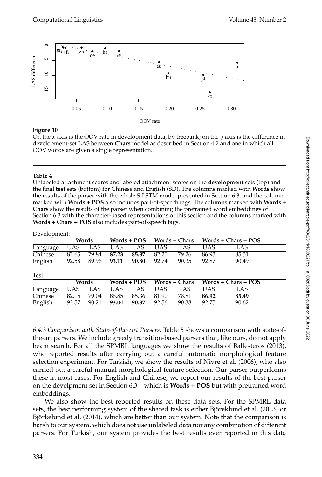

On the *x*-axis is the OOV rate in development data, by treebank; on the *y*-axis is the difference in development-set LAS between **Chars** model as described in Section 4.2 and one in which all OOV words are given a single representation.

#### **Table 4**

Test:

Unlabeled attachment scores and labeled attachment scores on the **development** sets (top) and the final **test** sets (bottom) for Chinese and English (SD). The columns marked with **Words** show the results of the parser with the whole S-LSTM model presented in Section 6.3, and the column marked with **Words + POS** also includes part-of-speech tags. The columns marked with **Words + Chars** show the results of the parser when combining the pretrained word embeddings of Section 6.3 with the character-based representations of this section and the columns marked with **Words + Chars + POS** also includes part-of-speech tags.

| Development: |       |                                |     |                      |       |       |       |                                     |  |  |  |
|--------------|-------|--------------------------------|-----|----------------------|-------|-------|-------|-------------------------------------|--|--|--|
|              |       | Words                          |     | Words + $POS$        |       |       |       | Words + Chars   Words + Chars + POS |  |  |  |
| Language     | UAS   | LAS                            | UAS | LAS 1                | UAS.  | LAS.  | UAS   | LAS                                 |  |  |  |
| Chinese      | 82.65 | 79.84   87.23                  |     | 85.87                | 82.20 | 79.26 | 86.93 | 85.51                               |  |  |  |
| English      |       | $92.58$ $89.96$   <b>93.11</b> |     | <b>90.80</b>   92.74 |       | 90.35 | 92.87 | 90.49                               |  |  |  |
|              |       |                                |     |                      |       |       |       |                                     |  |  |  |

| rest.                                                                   |       |                                   |                               |       |                     |  |
|-------------------------------------------------------------------------|-------|-----------------------------------|-------------------------------|-------|---------------------|--|
|                                                                         | Words |                                   | Words + $POS$   Words + Chars |       | Words + Chars + POS |  |
| Language   UAS LAS   UAS LAS   UAS LAS                                  |       |                                   |                               | UAS ! | LAS                 |  |
| Chinese                                                                 |       | 82.15 79.04   86.85 85.36   81.90 | 78.81 +                       | 86.92 | 85.49               |  |
| English   $92.57$ $90.21$   $93.04$ $90.87$   $92.56$ $90.38$   $92.75$ |       |                                   |                               |       | 90.62               |  |

*6.4.3 Comparison with State-of-the-Art Parsers.* Table 5 shows a comparison with state-ofthe-art parsers. We include greedy transition-based parsers that, like ours, do not apply beam search. For all the SPMRL languages we show the results of Ballesteros (2013), who reported results after carrying out a careful automatic morphological feature selection experiment. For Turkish, we show the results of Nivre et al. (2006), who also carried out a careful manual morphological feature selection. Our parser outperforms these in most cases. For English and Chinese, we report our results of the best parser on the develpment set in Section 6.3—which is **Words + POS** but with pretrained word embeddings.

We also show the best reported results on these data sets. For the SPMRL data sets, the best performing system of the shared task is either Björeklund et al. (2013) or Björkelund et al. (2014), which are better than our system. Note that the comparison is harsh to our system, which does not use unlabeled data nor any combination of different parsers. For Turkish, our system provides the best results ever reported in this data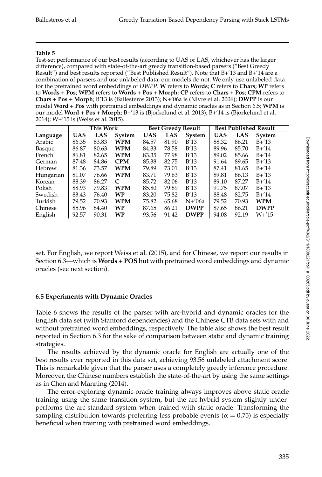Test-set performance of our best results (according to UAS or LAS, whichever has the larger difference), compared with state-of-the-art greedy transition-based parsers ("Best Greedy Result") and best results reported ("Best Published Result"). Note that B+'13 and B+'14 are a combination of parsers and use unlabeled data; our models do not. We only use unlabeled data for the pretrained word embeddings of *DWPP*. **W** refers to **Words**; **C** refers to **Chars**; **WP** refers to **Words + Pos**; **WPM** refers to **Words + Pos + Morph**; **CP** refers to **Chars + Pos**; **CPM** refers to **Chars + Pos + Morph**; B'13 is (Ballesteros 2013); N+'06a is (Nivre et al. 2006); **DWPP** is our model **Word + Pos** with pretrained embeddings and dynamic oracles as in Section 6.5; **WPM** is our model **Word + Pos + Morph**; B+'13 is (Björkelund et al. 2013); B+'14 is (Björkelund et al. 2014); W+'15 is (Weiss et al. 2015).

|           |            | <b>This Work</b> |            |            | <b>Best Greedy Result</b> |             |            |       | <b>Best Published Result</b> |
|-----------|------------|------------------|------------|------------|---------------------------|-------------|------------|-------|------------------------------|
| Language  | <b>UAS</b> | LAS              | System     | <b>UAS</b> | LAS                       | System      | <b>UAS</b> | LAS   | System                       |
| Arabic    | 86.35      | 83.83            | <b>WPM</b> | 84.57      | 81.90                     | B'13        | 88.32      | 86.21 | $B+'13$                      |
| Basque    | 86.87      | 80.63            | <b>WPM</b> | 84.33      | 78.58                     | B'13        | 89.96      | 85.70 | $B+'14$                      |
| French    | 86.81      | 82.65            | <b>WPM</b> | 83.35      | 77.98                     | B'13        | 89.02      | 85.66 | $B+'14$                      |
| German    | 87.48      | 84.86            | <b>CPM</b> | 85.38      | 82.75                     | B'13        | 91.64      | 89.65 | $B+'13$                      |
| Hebrew    | 81.36      | 73.57            | <b>WPM</b> | 79.89      | 73.01                     | B'13        | 87.41      | 81.65 | $B+'14$                      |
| Hungarian | 81.07      | 76.66            | <b>WPM</b> | 83.71      | 79.63                     | B'13        | 89.81      | 86.13 | $B+'13$                      |
| Korean    | 88.39      | 86.27            | C          | 85.72      | 82.06                     | B'13        | 89.10      | 87.27 | $B+'14$                      |
| Polish    | 88.93      | 79.83            | <b>WPM</b> | 85.80      | 79.89                     | B'13        | 91.75      | 87.07 | $B+'13$                      |
| Swedish   | 83.43      | 76.40            | <b>WP</b>  | 83.20      | 75.82                     | B'13        | 88.48      | 82.75 | $B+'14$                      |
| Turkish   | 79.52      | 70.93            | <b>WPM</b> | 75.82      | 65.68                     | $N+′06a$    | 79.52      | 70.93 | <b>WPM</b>                   |
| Chinese   | 85.96      | 84.40            | <b>WP</b>  | 87.65      | 86.21                     | <b>DWPP</b> | 87.65      | 86.21 | <b>DWPP</b>                  |
| English   | 92.57      | 90.31            | <b>WP</b>  | 93.56      | 91.42                     | <b>DWPP</b> | 94.08      | 92.19 | $W+15$                       |

set. For English, we report Weiss et al. (2015), and for Chinese, we report our results in Section 6.3—which is **Words + POS** but with pretrained word embeddings and dynamic oracles (see next section).

#### **6.5 Experiments with Dynamic Oracles**

Table 6 shows the results of the parser with arc-hybrid and dynamic oracles for the English data set (with Stanford dependencies) and the Chinese CTB data sets with and without pretrained word embeddings, respectively. The table also shows the best result reported in Section 6.3 for the sake of comparison between static and dynamic training strategies.

The results achieved by the dynamic oracle for English are actually one of the best results ever reported in this data set, achieving 93.56 unlabeled attachment score. This is remarkable given that the parser uses a completely greedy inference procedure. Moreover, the Chinese numbers establish the state-of-the-art by using the same settings as in Chen and Manning (2014).

The error-exploring dynamic-oracle training always improves above static oracle training using the same transition system, but the arc-hybrid system slightly underperforms the arc-standard system when trained with static oracle. Transforming the sampling distribution towards preferring less probable events ( $\alpha = 0.75$ ) is especially beneficial when training with pretrained word embeddings.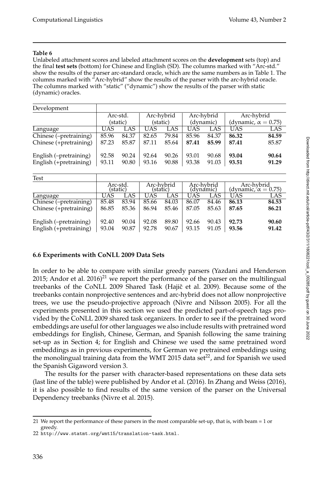Unlabeled attachment scores and labeled attachment scores on the **development** sets (top) and the final **test sets** (bottom) for Chinese and English (SD). The columns marked with "Arc-std." show the results of the parser arc-standard oracle, which are the same numbers as in Table 1. The columns marked with "Arc-hybrid" show the results of the parser with the arc-hybrid oracle. The columns marked with "static" ("dynamic") show the results of the parser with static (dynamic) oracles.

| Development                                      |                |                |                |                |                |                |                |                             |
|--------------------------------------------------|----------------|----------------|----------------|----------------|----------------|----------------|----------------|-----------------------------|
|                                                  |                | Arc-std.       | Arc-hybrid     |                | Arc-hybrid     |                |                | Arc-hybrid                  |
|                                                  |                | (static)       |                | (static)       |                | (dynamic)      |                | (dynamic, $\alpha = 0.75$ ) |
| Language                                         | UAS            | LAS            | UAS            | LAS            | UAS            | LAS            | UAS            | LAS                         |
| Chinese (-pretraining)                           | 85.96          | 84.37          | 82.65          | 79.84          | 85.96          | 84.37          | 86.32          | 84.59                       |
| Chinese (+pretraining)                           | 87.23          | 85.87          | 87.11          | 85.64          | 87.41          | 85.99          | 87.41          | 85.87                       |
| English (-pretraining)<br>English (+pretraining) | 92.58<br>93.11 | 90.24<br>90.80 | 92.64<br>93.16 | 90.26<br>90.88 | 93.01<br>93.38 | 90.68<br>91.03 | 93.04<br>93.51 | 90.64<br>91.29              |

| <b>Test</b>            |                      |       |                        |       |                         |       |                                           |       |
|------------------------|----------------------|-------|------------------------|-------|-------------------------|-------|-------------------------------------------|-------|
|                        | Arc-std.<br>(static) |       | Arc-hybrid<br>(static) |       | Arc-hvbrid<br>(dvnámic) |       | Arc-hybrid<br>(dynamic, $\alpha = 0.75$ ) |       |
| Language               | UAS                  | LAS   | UAS                    | LAS   | UAS                     | LAS   | UAS                                       | LAS   |
| Chinese (-pretraining) | 85.48                | 83.94 | 85.66                  | 84.03 | 86.07                   | 84.46 | 86.13                                     | 84.53 |
| Chinese (+pretraining) | 86.85                | 85.36 | 86.94                  | 85.46 | 87.05                   | 85.63 | 87.65                                     | 86.21 |
| English (-pretraining) | 92.40                | 90.04 | 92.08                  | 89.80 | 92.66                   | 90.43 | 92.73                                     | 90.60 |
| English (+pretraining) | 93.04                | 90.87 | 92.78                  | 90.67 | 93.15                   | 91.05 | 93.56                                     | 91.42 |

#### **6.6 Experiments with CoNLL 2009 Data Sets**

In order to be able to compare with similar greedy parsers (Yazdani and Henderson 2015; Andor et al. 2016)<sup>21</sup> we report the performance of the parser on the multilingual treebanks of the CoNLL 2009 Shared Task (Hajič et al. 2009). Because some of the treebanks contain nonprojective sentences and arc-hybrid does not allow nonprojective trees, we use the pseudo-projective approach (Nivre and Nilsson 2005). For all the experiments presented in this section we used the predicted part-of-speech tags provided by the CoNLL 2009 shared task organizers. In order to see if the pretrained word embeddings are useful for other languages we also include results with pretrained word embeddings for English, Chinese, German, and Spanish following the same training set-up as in Section 4; for English and Chinese we used the same pretrained word embeddings as in previous experiments, for German we pretrained embeddings using the monolingual training data from the WMT 2015 data set<sup>22</sup>, and for Spanish we used the Spanish Gigaword version 3.

The results for the parser with character-based representations on these data sets (last line of the table) were published by Andor et al. (2016). In Zhang and Weiss (2016), it is also possible to find results of the same version of the parser on the Universal Dependency treebanks (Nivre et al. 2015).

<sup>21</sup> We report the performance of these parsers in the most comparable set-up, that is, with beam = 1 or greedy.

<sup>22</sup> http://www.statmt.org/wmt15/translation-task.html.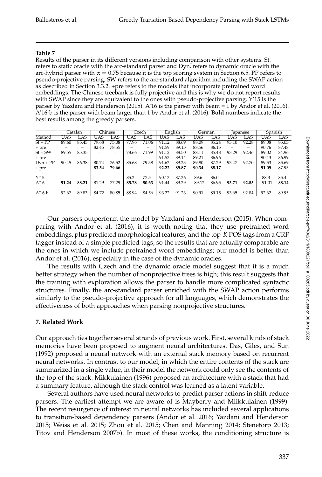Results of the parser in its different versions including comparison with other systems. St. refers to static oracle with the arc-standard parser and Dyn. refers to dynamic oracle with the arc-hybrid parser with  $\alpha = 0.75$  because it is the top scoring system in Section 6.5. PP refers to pseudo-projective parsing, SW refers to the arc-standard algorithm including the SWAP action as described in Section 3.3.2. +pre refers to the models that incorporate pretrained word embeddings. The Chinese treebank is fully projective and this is why we do not report results with SWAP since they are equivalent to the ones with pseudo-projective parsing. Y'15 is the parser by Yazdani and Henderson (2015). A'16 is the parser with beam = 1 by Andor et al. (2016). A'16-b is the parser with beam larger than 1 by Andor et al. (2016). **Bold** numbers indicate the best results among the greedy parsers.

|              | Catalan |       | Chinese    |       | Czech         |               | English        |                | German        |               | lapanese |       | Spanish       |               |
|--------------|---------|-------|------------|-------|---------------|---------------|----------------|----------------|---------------|---------------|----------|-------|---------------|---------------|
| Method       | UAS     | LAS   | <b>UAS</b> | LAS   | <b>UAS</b>    | LAS           | <b>UAS</b>     | LAS            | UAS           | LAS           | UAS      | LAS   | UAS           | LAS           |
| $St + PP$    | 89.60   | 85.45 | 79.68      | 75.08 | 77.96         | 71.06         | 91.12          | 88.69          | 88.09         | 85.24         | 93.10    | 92.28 | 89.08         | 85.03         |
| + pre        |         |       | 82.45      | 78.55 |               |               | 91.59          | 89.15          | 88.56         | 86.15         |          | -     | 90.76         | 87.48         |
| $St + SW$    | 89.55   | 85.35 |            | -     | 78.66         | 71.99         | 91.12          | 88.50          | 88.11         | 85.48         | 93.29    | 92.46 | 89.02         | 84.96         |
| + pre        |         |       |            |       |               |               | 91.53          | 89.14          | 89.21         | 86.96         |          | -     | 90.43         | 86.99         |
| $Dyn + PP$   | 90.45   | 86.38 | 80.74      | 76.52 | 85.68         | 79.38         | 91.62          | 89.23          | 89.80         | 87.29         | 93.47    | 92.70 | 89.53         | 85.69         |
| + pre        |         |       | 83.54      | 79.66 |               |               | 92.22          | 89.87          | 90.34         | 88.17         |          |       | 91.09         | 87.95         |
| Y'15<br>A'16 | 91.24   | 88.21 | 81.29      | 77.29 | 85.2<br>85.78 | 77.5<br>80.63 | 90.13<br>91.44 | 87.26<br>89.29 | 89.6<br>89.12 | 86.0<br>86.95 | 93.71    | 92.85 | 88.3<br>91.01 | 85.4<br>88.14 |
| $A'16-b$     | 92.67   | 89.83 | 84.72      | 80.85 | 88.94         | 84.56         | 93.22          | 91.23          | 90.91         | 89.15         | 93.65    | 92.84 | 92.62         | 89.95         |

Our parsers outperform the model by Yazdani and Henderson (2015). When comparing with Andor et al. (2016), it is worth noting that they use pretrained word embeddings, plus predicted morphological features, and the top-*K* POS tags from a CRF tagger instead of a simple predicted tags, so the results that are actually comparable are the ones in which we include pretrained word embeddings; our model is better than Andor et al. (2016), especially in the case of the dynamic oracles.

The results with Czech and the dynamic oracle model suggest that it is a much better strategy when the number of nonprojective trees is high; this result suggests that the training with exploration allows the parser to handle more complicated syntactic structures. Finally, the arc-standard parser enriched with the SWAP action performs similarly to the pseudo-projective approach for all languages, which demonstrates the effectiveness of both approaches when parsing nonprojective structures.

## **7. Related Work**

Our approach ties together several strands of previous work. First, several kinds of stack memories have been proposed to augment neural architectures. Das, Giles, and Sun (1992) proposed a neural network with an external stack memory based on recurrent neural networks. In contrast to our model, in which the entire contents of the stack are summarized in a single value, in their model the network could only see the contents of the top of the stack. Mikkulainen (1996) proposed an architecture with a stack that had a summary feature, although the stack control was learned as a latent variable.

Several authors have used neural networks to predict parser actions in shift-reduce parsers. The earliest attempt we are aware of is Mayberry and Miikkulainen (1999). The recent resurgence of interest in neural networks has included several applications to transition-based dependency parsers (Andor et al. 2016; Yazdani and Henderson 2015; Weiss et al. 2015; Zhou et al. 2015; Chen and Manning 2014; Stenetorp 2013; Titov and Henderson 2007b). In most of these works, the conditioning structure is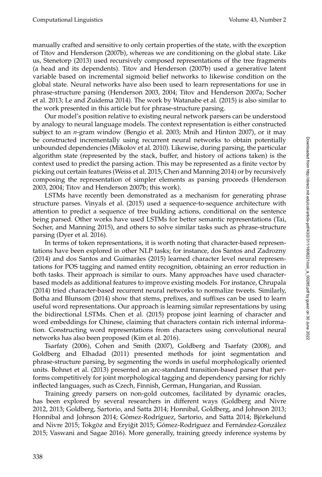manually crafted and sensitive to only certain properties of the state, with the exception of Titov and Henderson (2007b), whereas we are conditioning on the global state. Like us, Stenetorp (2013) used recursively composed representations of the tree fragments (a head and its dependents). Titov and Henderson (2007b) used a generative latent variable based on incremental sigmoid belief networks to likewise condition on the global state. Neural networks have also been used to learn representations for use in phrase-structure parsing (Henderson 2003, 2004; Titov and Henderson 2007a; Socher et al. 2013; Le and Zuidema 2014). The work by Watanabe et al. (2015) is also similar to the work presented in this article but for phrase-structure parsing.

Our model's position relative to existing neural network parsers can be understood by analogy to neural language models. The context representation is either constructed subject to an *n*-gram window (Bengio et al. 2003; Mnih and Hinton 2007), or it may be constructed incrementally using recurrent neural networks to obtain potentially unbounded dependencies (Mikolov et al. 2010). Likewise, during parsing, the particular algorithm state (represented by the stack, buffer, and history of actions taken) is the context used to predict the parsing action. This may be represented as a finite vector by picking out certain features (Weiss et al. 2015; Chen and Manning 2014) or by recursively composing the representation of simpler elements as parsing proceeds (Henderson 2003, 2004; Titov and Henderson 2007b; this work).

LSTMs have recently been demonstrated as a mechanism for generating phrase structure parses. Vinyals et al. (2015) used a sequence-to-sequence architecture with attention to predict a sequence of tree building actions, conditional on the sentence being parsed. Other works have used LSTMs for better semantic representations (Tai, Socher, and Manning 2015), and others to solve similar tasks such as phrase-structure parsing (Dyer et al. 2016).

In terms of token representations, it is worth noting that character-based representations have been explored in other NLP tasks; for instance, dos Santos and Zadrozny  $(2014)$  and dos Santos and Guimarães  $(2015)$  learned character level neural representations for POS tagging and named entity recognition, obtaining an error reduction in both tasks. Their approach is similar to ours. Many approaches have used characterbased models as additional features to improve existing models. For instance, Chrupala (2014) tried character-based recurrent neural networks to normalize tweets. Similarly, Botha and Blunsom (2014) show that stems, prefixes, and suffixes can be used to learn useful word representations. Our approach is learning similar representations by using the bidirectional LSTMs. Chen et al. (2015) propose joint learning of character and word embeddings for Chinese, claiming that characters contain rich internal information. Constructing word representations from characters using convolutional neural networks has also been proposed (Kim et al. 2016).

Tsarfaty (2006), Cohen and Smith (2007), Goldberg and Tsarfaty (2008), and Goldberg and Elhadad (2011) presented methods for joint segmentation and phrase-structure parsing, by segmenting the words in useful morphologically oriented units. Bohnet et al. (2013) presented an arc-standard transition-based parser that performs competitively for joint morphological tagging and dependency parsing for richly inflected languages, such as Czech, Finnish, German, Hungarian, and Russian.

Training greedy parsers on non-gold outcomes, facilitated by dynamic oracles, has been explored by several researchers in different ways (Goldberg and Nivre 2012, 2013; Goldberg, Sartorio, and Satta 2014; Honnibal, Goldberg, and Johnson 2013; Honnibal and Johnson 2014; Gómez-Rodríguez, Sartorio, and Satta 2014; Björkelund and Nivre 2015; Tokgöz and Eryiğit 2015; Gómez-Rodríguez and Fernández-González 2015; Vaswani and Sagae 2016). More generally, training greedy inference systems by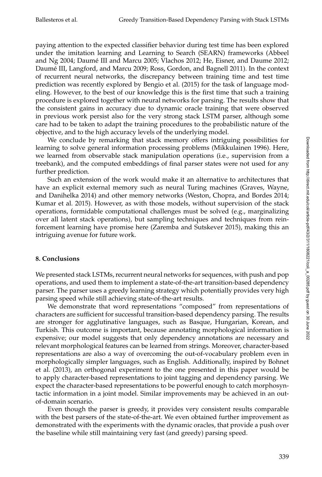paying attention to the expected classifier behavior during test time has been explored under the imitation learning and Learning to Search (SEARN) frameworks (Abbeel and Ng 2004; Daume III and Marcu 2005; Vlachos 2012; He, Eisner, and Daume 2012; ´ Daume III, Langford, and Marcu 2009; Ross, Gordon, and Bagnell 2011). In the context ´ of recurrent neural networks, the discrepancy between training time and test time prediction was recently explored by Bengio et al. (2015) for the task of language modeling. However, to the best of our knowledge this is the first time that such a training procedure is explored together with neural networks for parsing. The results show that the consistent gains in accuracy due to dynamic oracle training that were observed in previous work persist also for the very strong stack LSTM parser, although some care had to be taken to adapt the training procedures to the probabilistic nature of the objective, and to the high accuracy levels of the underlying model.

We conclude by remarking that stack memory offers intriguing possibilities for learning to solve general information processing problems (Mikkulainen 1996). Here, we learned from observable stack manipulation operations (i.e., supervision from a treebank), and the computed embeddings of final parser states were not used for any further prediction.

Such an extension of the work would make it an alternative to architectures that have an explicit external memory such as neural Turing machines (Graves, Wayne, and Danihelka 2014) and other memory networks (Weston, Chopra, and Bordes 2014; Kumar et al. 2015). However, as with those models, without supervision of the stack operations, formidable computational challenges must be solved (e.g., marginalizing over all latent stack operations), but sampling techniques and techniques from reinforcement learning have promise here (Zaremba and Sutskever 2015), making this an intriguing avenue for future work.

## **8. Conclusions**

We presented stack LSTMs, recurrent neural networks for sequences, with push and pop operations, and used them to implement a state-of-the-art transition-based dependency parser. The parser uses a greedy learning strategy which potentially provides very high parsing speed while still achieving state-of-the-art results.

We demonstrate that word representations "composed" from representations of characters are sufficient for successful transition-based dependency parsing. The results are stronger for agglutinative languages, such as Basque, Hungarian, Korean, and Turkish. This outcome is important, because annotating morphological information is expensive; our model suggests that only dependency annotations are necessary and relevant morphological features can be learned from strings. Moreover, character-based representations are also a way of overcoming the out-of-vocabulary problem even in morphologically simpler languages, such as English. Additionally, inspired by Bohnet et al. (2013), an orthogonal experiment to the one presented in this paper would be to apply character-based representations to joint tagging and dependency parsing. We expect the character-based representations to be powerful enough to catch morphosyntactic information in a joint model. Similar improvements may be achieved in an outof-domain scenario.

Even though the parser is greedy, it provides very consistent results comparable with the best parsers of the state-of-the-art. We even obtained further improvement as demonstrated with the experiments with the dynamic oracles, that provide a push over the baseline while still maintaining very fast (and greedy) parsing speed.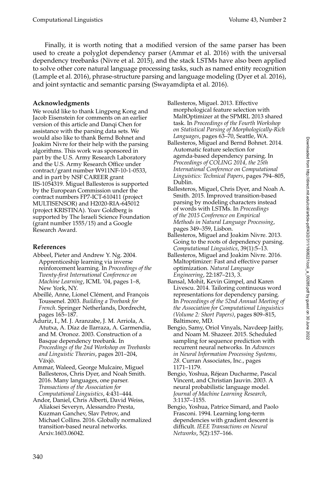Finally, it is worth noting that a modified version of the same parser has been used to create a polyglot dependency parser (Ammar et al. 2016) with the universal dependency treebanks (Nivre et al. 2015), and the stack LSTMs have also been applied to solve other core natural language processing tasks, such as named entity recognition (Lample et al. 2016), phrase-structure parsing and language modeling (Dyer et al. 2016), and joint syntactic and semantic parsing (Swayamdipta et al. 2016).

## **Acknowledgments**

We would like to thank Lingpeng Kong and Jacob Eisenstein for comments on an earlier version of this article and Danqi Chen for assistance with the parsing data sets. We would also like to thank Bernd Bohnet and Joakim Nivre for their help with the parsing algorithms. This work was sponsored in part by the U.S. Army Research Laboratory and the U.S. Army Research Office under contract/grant number W911NF-10-1-0533, and in part by NSF CAREER grant IIS-1054319. Miguel Ballesteros is supported by the European Commission under the contract numbers FP7-ICT-610411 (project MULTISENSOR) and H2020-RIA-645012 (project KRISTINA). Yoav Goldberg is supported by The Israeli Science Foundation (grant number 1555/15) and a Google Research Award.

## **References**

- Abbeel, Pieter and Andrew Y. Ng. 2004. Apprenticeship learning via inverse reinforcement learning. In *Proceedings of the Twenty-first International Conference on Machine Learning*, ICML '04, pages 1–8, New York, NY.
- Abeillé, Anne, Lionel Clément, and François Toussenel. 2003. *Building a Treebank for French*. Springer Netherlands, Dordrecht, pages 165–187.
- Aduriz, I., M. J. Aranzabe, J. M. Arriola, A. Atutxa, A. Díaz de Ilarraza, A. Garmendia, and M. Oronoz. 2003. Construction of a Basque dependency treebank. In *Proceedings of the 2nd Workshop on Treebanks and Linguistic Theories*, pages 201–204, Växjö.
- Ammar, Waleed, George Mulcaire, Miguel Ballesteros, Chris Dyer, and Noah Smith. 2016. Many languages, one parser. *Transactions of the Association for Computational Linguistics*, 4:431–444.
- Andor, Daniel, Chris Alberti, David Weiss, Aliaksei Severyn, Alessandro Presta, Kuzman Ganchev, Slav Petrov, and Michael Collins. 2016. Globally normalized transition-based neural networks. Arxiv.1603.06042.
- Ballesteros, Miguel. 2013. Effective morphological feature selection with MaltOptimizer at the SPMRL 2013 shared task. In *Proceedings of the Fourth Workshop on Statistical Parsing of Morphologically-Rich Languages*, pages 63–70, Seattle, WA.
- Ballesteros, Miguel and Bernd Bohnet. 2014. Automatic feature selection for agenda-based dependency parsing. In *Proceedings of COLING 2014, the 25th International Conference on Computational Linguistics: Technical Papers*, pages 794–805, Dublin.
- Ballesteros, Miguel, Chris Dyer, and Noah A. Smith. 2015. Improved transition-based parsing by modeling characters instead of words with LSTMs. In *Proceedings of the 2015 Conference on Empirical Methods in Natural Language Processing*, pages 349–359, Lisbon.
- Ballesteros, Miguel and Joakim Nivre. 2013. Going to the roots of dependency parsing. *Computational Linguistics*, 39(1):5–13.
- Ballesteros, Miguel and Joakim Nivre. 2016. Maltoptimizer: Fast and effective parser optimization. *Natural Language Engineering*, 22:187–213, 3.
- Bansal, Mohit, Kevin Gimpel, and Karen Livescu. 2014. Tailoring continuous word representations for dependency parsing. In *Proceedings of the 52nd Annual Meeting of the Association for Computational Linguistics (Volume 2: Short Papers)*, pages 809–815, Baltimore, MD.
- Bengio, Samy, Oriol Vinyals, Navdeep Jaitly, and Noam M. Shazeer. 2015. Scheduled sampling for sequence prediction with recurrent neural networks. In *Advances in Neural Information Processing Systems, 28*. Curran Associates, Inc., pages 1171–1179.
- Bengio, Yoshua, Rejean Ducharme, Pascal ´ Vincent, and Christian Jauvin. 2003. A neural probabilistic language model. *Journal of Machine Learning Research*, 3:1137–1155.
- Bengio, Yoshua, Patrice Simard, and Paolo Frasconi. 1994. Learning long-term dependencies with gradient descent is difficult. *IEEE Transactions on Neural Networks*, 5(2):157–166.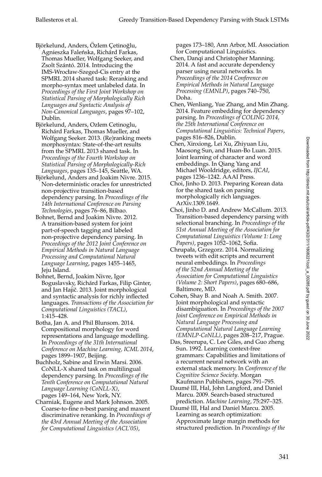- Björkelund, Anders, Ozlem Çetinoğlu, Agnieszka Faleńska, Richárd Farkas, Thomas Mueller, Wolfgang Seeker, and Zsolt Szántó. 2014. Introducing the IMS-Wrocław-Szeged-Cis entry at the SPMRL 2014 shared task: Reranking and morpho-syntax meet unlabeled data. In *Proceedings of the First Joint Workshop on Statistical Parsing of Morphologically Rich Languages and Syntactic Analysis of Non-Canonical Languages*, pages 97–102, Dublin.
- Bjorkelund, Anders, Ozlem Cetinoglu, ¨ Richard Farkas, Thomas Mueller, and ´ Wolfgang Seeker. 2013. (Re)ranking meets morphosyntax: State-of-the-art results from the SPMRL 2013 shared task. In *Proceedings of the Fourth Workshop on Statistical Parsing of Morphologically-Rich Languages*, pages 135–145, Seattle, WA.
- Björkelund, Anders and Joakim Nivre. 2015. Non-deterministic oracles for unrestricted non-projective transition-based dependency parsing. In *Proceedings of the 14th International Conference on Parsing Technologies*, pages 76–86, Bilbao.
- Bohnet, Bernd and Joakim Nivre. 2012. A transition-based system for joint part-of-speech tagging and labeled non-projective dependency parsing. In *Proceedings of the 2012 Joint Conference on Empirical Methods in Natural Language Processing and Computational Natural Language Learning*, pages 1455–1465, Jeju Island.
- Bohnet, Bernd, Joakim Nivre, Igor Boguslavsky, Richárd Farkas, Filip Ginter, and Jan Hajič. 2013. Joint morphological and syntactic analysis for richly inflected languages. *Transactions of the Association for Computational Linguistics (TACL)*, 1:415–428.
- Botha, Jan A. and Phil Blunsom. 2014. Compositional morphology for word representations and language modelling. In *Proceedings of the 31th International Conference on Machine Learning, ICML 2014*, pages 1899–1907, Beijing.
- Buchholz, Sabine and Erwin Marsi. 2006. CoNLL-X shared task on multilingual dependency parsing. In *Proceedings of the Tenth Conference on Computational Natural Language Learning (CoNLL-X)*, pages 149–164, New York, NY.
- Charniak, Eugene and Mark Johnson. 2005. Coarse-to-fine n-best parsing and maxent discriminative reranking. In *Proceedings of the 43rd Annual Meeting of the Association for Computational Linguistics (ACL'05)*,

pages 173–180, Ann Arbor, MI. Association for Computational Linguistics.

- Chen, Danqi and Christopher Manning. 2014. A fast and accurate dependency parser using neural networks. In *Proceedings of the 2014 Conference on Empirical Methods in Natural Language Processing (EMNLP)*, pages 740–750, Doha.
- Chen, Wenliang, Yue Zhang, and Min Zhang. 2014. Feature embedding for dependency parsing. In *Proceedings of COLING 2014, the 25th International Conference on Computational Linguistics: Technical Papers*, pages 816–826, Dublin.
- Chen, Xinxiong, Lei Xu, Zhiyuan Liu, Maosong Sun, and Huan-Bo Luan. 2015. Joint learning of character and word embeddings. In Qiang Yang and Michael Wooldridge, editors, *IJCAI*, pages 1236–1242. AAAI Press.
- Choi, Jinho D. 2013. Preparing Korean data for the shared task on parsing morphologically rich languages. ArXiv.1309.1649.
- Choi, Jinho D. and Andrew McCallum. 2013. Transition-based dependency parsing with selectional branching. In *Proceedings of the 51st Annual Meeting of the Association for Computational Linguistics (Volume 1: Long Papers)*, pages 1052–1062, Sofia.
- Chrupała, Grzegorz. 2014. Normalizing tweets with edit scripts and recurrent neural embeddings. In *Proceedings of the 52nd Annual Meeting of the Association for Computational Linguistics (Volume 2: Short Papers)*, pages 680–686, Baltimore, MD.
- Cohen, Shay B. and Noah A. Smith. 2007. Joint morphological and syntactic disambiguation. In *Proceedings of the 2007 Joint Conference on Empirical Methods in Natural Language Processing and Computational Natural Language Learning (EMNLP-CoNLL)*, pages 208–217, Prague.
- Das, Sreerupa, C. Lee Giles, and Guo zheng Sun. 1992. Learning context-free grammars: Capabilities and limitations of a recurrent neural network with an external stack memory. In *Conference of the Cognitive Science Society*. Morgan Kaufmann Publishers, pages 791–795.
- Daumé III, Hal, John Langford, and Daniel Marcu. 2009. Search-based structured prediction. *Machine Learning*, 75:297–325.
- Daume III, Hal and Daniel Marcu. 2005. ´ Learning as search optimization: Approximate large margin methods for structured prediction. In *Proceedings of the*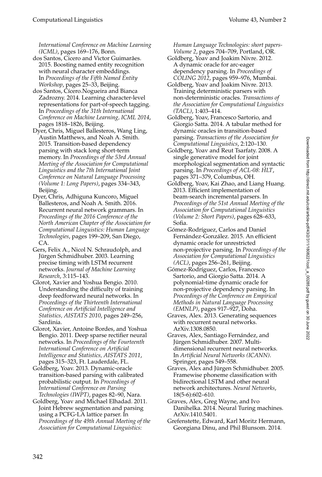*International Conference on Machine Learning (ICML)*, pages 169–176, Bonn.

- dos Santos, Cicero and Victor Guimarães. 2015. Boosting named entity recognition with neural character embeddings. In *Proceedings of the Fifth Named Entity Workshop*, pages 25–33, Beijing.
- dos Santos, Cícero.Nogueira and Bianca Zadrozny. 2014. Learning character-level representations for part-of-speech tagging. In *Proceedings of the 31th International Conference on Machine Learning, ICML 2014*, pages 1818–1826, Beijing.
- Dyer, Chris, Miguel Ballesteros, Wang Ling, Austin Matthews, and Noah A. Smith. 2015. Transition-based dependency parsing with stack long short-term memory. In *Proceedings of the 53rd Annual Meeting of the Association for Computational Linguistics and the 7th International Joint Conference on Natural Language Processing (Volume 1: Long Papers)*, pages 334–343, Beijing.
- Dyer, Chris, Adhiguna Kuncoro, Miguel Ballesteros, and Noah A. Smith. 2016. Recurrent neural network grammars. In *Proceedings of the 2016 Conference of the North American Chapter of the Association for Computational Linguistics: Human Language Technologies*, pages 199–209, San Diego, CA.
- Gers, Felix A., Nicol N. Schraudolph, and Jürgen Schmidhuber. 2003. Learning precise timing with LSTM recurrent networks. *Journal of Machine Learning Research*, 3:115–143.
- Glorot, Xavier and Yoshua Bengio. 2010. Understanding the difficulty of training deep feedforward neural networks. In *Proceedings of the Thirteenth International Conference on Artificial Intelligence and Statistics, AISTATS 2010*, pages 249–256, Sardinia.
- Glorot, Xavier, Antoine Bordes, and Yoshua Bengio. 2011. Deep sparse rectifier neural networks. In *Proceedings of the Fourteenth International Conference on Artificial Intelligence and Statistics, AISTATS 2011*, pages 315–323, Ft. Lauderdale, FL.
- Goldberg, Yoav. 2013. Dynamic-oracle transition-based parsing with calibrated probabilistic output. In *Proceedings of International Conference on Parsing Technologies (IWPT)*, pages 82–90, Nara.
- Goldberg, Yoav and Michael Elhadad. 2011. Joint Hebrew segmentation and parsing using a PCFG-LA lattice parser. In *Proceedings of the 49th Annual Meeting of the Association for Computational Linguistics:*

*Human Language Technologies: short papers-Volume 2*, pages 704–709, Portland, OR.

- Goldberg, Yoav and Joakim Nivre. 2012. A dynamic oracle for arc-eager dependency parsing. In *Proceedings of COLING 2012*, pages 959–976, Mumbai.
- Goldberg, Yoav and Joakim Nivre. 2013. Training deterministic parsers with non-deterministic oracles. *Transactions of the Association for Computational Linguistics (TACL)*, 1:403–414.
- Goldberg, Yoav, Francesco Sartorio, and Giorgio Satta. 2014. A tabular method for dynamic oracles in transition-based parsing. *Transactions of the Association for Computational Linguistics*, 2:120–130.
- Goldberg, Yoav and Reut Tsarfaty. 2008. A single generative model for joint morphological segmentation and syntactic parsing. In *Proceedings of ACL-08: HLT*, pages 371–379, Columbus, OH.
- Goldberg, Yoav, Kai Zhao, and Liang Huang. 2013. Efficient implementation of beam-search incremental parsers. In *Proceedings of the 51st Annual Meeting of the Association for Computational Linguistics (Volume 2: Short Papers)*, pages 628–633, Sofia.
- Gómez-Rodríguez, Carlos and Daniel Fernández-González. 2015. An efficient dynamic oracle for unrestricted non-projective parsing. In *Proceedings of the Association for Computational Linguistics (ACL)*, pages 256–261, Beijing.
- Gómez-Rodríguez, Carlos, Francesco Sartorio, and Giorgio Satta. 2014. A polynomial-time dynamic oracle for non-projective dependency parsing. In *Proceedings of the Conference on Empirical Methods in Natural Language Processing (EMNLP)*, pages 917–927, Doha.
- Graves, Alex. 2013. Generating sequences with recurrent neural networks. ArXiv.1308.0850.
- Graves, Alex, Santiago Fernández, and Jürgen Schmidhuber. 2007. Multidimensional recurrent neural networks. In *Artificial Neural Networks (ICANN)*. Springer, pages 549–558.
- Graves, Alex and Jürgen Schmidhuber. 2005. Framewise phoneme classification with bidirectional LSTM and other neural network architectures. *Neural Networks*, 18(5-6):602–610.
- Graves, Alex, Greg Wayne, and Ivo Danihelka. 2014. Neural Turing machines. ArXiv.1410.5401.
- Grefenstette, Edward, Karl Moritz Hermann, Georgiana Dinu, and Phil Blunsom. 2014.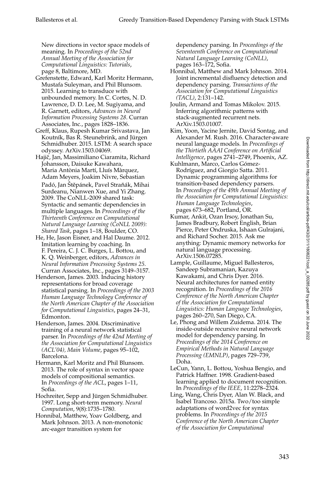New directions in vector space models of meaning. In *Proceedings of the 52nd Annual Meeting of the Association for Computational Linguistics: Tutorials*, page 8, Baltimore, MD.

- Grefenstette, Edward, Karl Moritz Hermann, Mustafa Suleyman, and Phil Blunsom. 2015. Learning to transduce with unbounded memory. In C. Cortes, N. D. Lawrence, D. D. Lee, M. Sugiyama, and R. Garnett, editors, *Advances in Neural Information Processing Systems 28*. Curran Associates, Inc., pages 1828–1836.
- Greff, Klaus, Rupesh Kumar Srivastava, Jan Koutník, Bas R. Steunebrink, and Jürgen Schmidhuber. 2015. LSTM: A search space odyssey. ArXiv.1503.04069.
- Hajič, Jan, Massimiliano Ciaramita, Richard Johansson, Daisuke Kawahara, Maria Antònia Martí, Lluís Màrquez, Adam Meyers, Joakim Nivre, Sebastian Padó, Jan Štěpánek, Pavel Straňák, Mihai Surdeanu, Nianwen Xue, and Yi Zhang. 2009. The CoNLL-2009 shared task: Syntactic and semantic dependencies in multiple languages. In *Proceedings of the Thirteenth Conference on Computational Natural Language Learning (CoNLL 2009): Shared Task*, pages 1–18, Boulder, CO.
- He, He, Jason Eisner, and Hal Daume. 2012. Imitation learning by coaching. In F. Pereira, C. J. C. Burges, L. Bottou, and K. Q. Weinberger, editors, *Advances in Neural Information Processing Systems 25*. Curran Associates, Inc., pages 3149–3157.
- Henderson, James. 2003. Inducing history representations for broad coverage statistical parsing. In *Proceedings of the 2003 Human Language Technology Conference of the North American Chapter of the Association for Computational Linguistics*, pages 24–31, Edmonton.
- Henderson, James. 2004. Discriminative training of a neural network statistical parser. In *Proceedings of the 42nd Meeting of the Association for Computational Linguistics (ACL'04), Main Volume*, pages 95–102, Barcelona.
- Hermann, Karl Moritz and Phil Blunsom. 2013. The role of syntax in vector space models of compositional semantics. In *Proceedings of the ACL*, pages 1–11, Sofia.
- Hochreiter, Sepp and Jürgen Schmidhuber. 1997. Long short-term memory. *Neural Computation*, 9(8):1735–1780.
- Honnibal, Matthew, Yoav Goldberg, and Mark Johnson. 2013. A non-monotonic arc-eager transition system for

dependency parsing. In *Proceedings of the Seventeenth Conference on Computational Natural Language Learning (CoNLL)*, pages 163–172, Sofia.

- Honnibal, Matthew and Mark Johnson. 2014. Joint incremental disfluency detection and dependency parsing. *Transactions of the Association for Computational Linguistics (TACL)*, 2:131–142.
- Joulin, Armand and Tomas Mikolov. 2015. Inferring algorithmic patterns with stack-augmented recurrent nets. ArXiv.1503.01007.
- Kim, Yoon, Yacine Jernite, David Sontag, and Alexander M. Rush. 2016. Character-aware neural language models. In *Proceedings of the Thirtieth AAAI Conference on Artificial Intelligence*, pages 2741–2749, Phoenix, AZ.
- Kuhlmann, Marco, Carlos Gómez-Rodríguez, and Giorgio Satta. 2011. Dynamic programming algorithms for transition-based dependency parsers. In *Proceedings of the 49th Annual Meeting of the Association for Computational Linguistics: Human Language Technologies*, pages 673–682, Portland, OR.
- Kumar, Ankit, Ozan Irsoy, Jonathan Su, James Bradbury, Robert English, Brian Pierce, Peter Ondruska, Ishaan Gulrajani, and Richard Socher. 2015. Ask me anything: Dynamic memory networks for natural language processing. ArXiv.1506.07285.
- Lample, Guillaume, Miguel Ballesteros, Sandeep Subramanian, Kazuya Kawakami, and Chris Dyer. 2016. Neural architectures for named entity recognition. In *Proceedings of the 2016 Conference of the North American Chapter of the Association for Computational Linguistics: Human Language Technologies*, pages 260–270, San Diego, CA.
- Le, Phong and Willem Zuidema. 2014. The inside-outside recursive neural network model for dependency parsing. In *Proceedings of the 2014 Conference on Empirical Methods in Natural Language Processing (EMNLP)*, pages 729–739, Doha.
- LeCun, Yann, L. Bottou, Yoshua Bengio, and Patrick Haffner. 1998. Gradient-based learning applied to document recognition. In *Proceedings of the IEEE*, 11:2278–2324.
- Ling, Wang, Chris Dyer, Alan W. Black, and Isabel Trancoso. 2015a. Two/too simple adaptations of word2vec for syntax problems. In *Proceedings of the 2015 Conference of the North American Chapter of the Association for Computational*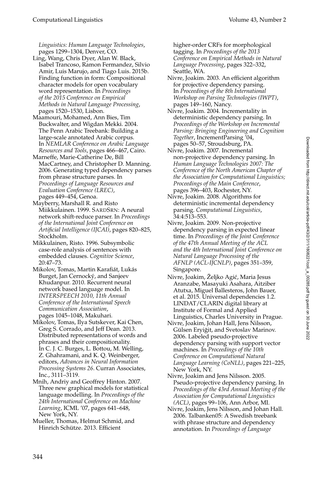*Linguistics: Human Language Technologies*, pages 1299–1304, Denver, CO.

- Ling, Wang, Chris Dyer, Alan W. Black, Isabel Trancoso, Ramon Fermandez, Silvio Amir, Luis Marujo, and Tiago Luis. 2015b. Finding function in form: Compositional character models for open vocabulary word representation. In *Proceedings of the 2015 Conference on Empirical Methods in Natural Language Processing*, pages 1520–1530, Lisbon.
- Maamouri, Mohamed, Ann Bies, Tim Buckwalter, and Wigdan Mekki. 2004. The Penn Arabic Treebank: Building a large-scale annotated Arabic corpus. In *NEMLAR Conference on Arabic Language Resources and Tools*, pages 466–467, Cairo.
- Marneffe, Marie-Catherine De, Bill MacCartney, and Christopher D. Manning. 2006. Generating typed dependency parses from phrase structure parses. In *Proceedings of Language Resources and Evaluation Conference (LREC)*, pages 449–454, Genoa.
- Mayberry, Marshall R. and Risto Miikkulainen. 1999. SARDSRN: A neural network shift-reduce parser. In *Proceedings of the International Joint Conference on Artificial Intelligence (IJCAI)*, pages 820–825, Stockholm.
- Mikkulainen, Risto. 1996. Subsymbolic case-role analysis of sentences with embedded clauses. *Cognitive Science*, 20:47–73.
- Mikolov, Tomas, Martin Karafiát, Lukás Burget, Jan Cernocký, and Sanjeev Khudanpur. 2010. Recurrent neural network based language model. In *INTERSPEECH 2010, 11th Annual Conference of the International Speech Communication Association*, pages 1045–1048, Makuhari.
- Mikolov, Tomas, Ilya Sutskever, Kai Chen, Greg S. Corrado, and Jeff Dean. 2013. Distributed representations of words and phrases and their compositionality. In C. J. C. Burges, L. Bottou, M. Welling, Z. Ghahramani, and K. Q. Weinberger, editors, *Advances in Neural Information Processing Systems 26*. Curran Associates, Inc., 3111–3119.
- Mnih, Andriy and Geoffrey Hinton. 2007. Three new graphical models for statistical language modelling. In *Proceedings of the 24th International Conference on Machine Learning*, ICML '07, pages 641–648, New York, NY.
- Mueller, Thomas, Helmut Schmid, and Hinrich Schutze. 2013. Efficient ¨

higher-order CRFs for morphological tagging. In *Proceedings of the 2013 Conference on Empirical Methods in Natural Language Processing*, pages 322–332, Seattle, WA.

- Nivre, Joakim. 2003. An efficient algorithm for projective dependency parsing. In *Proceedings of the 8th International Workshop on Parsing Technologies (IWPT)*, pages 149–160, Nancy.
- Nivre, Joakim. 2004. Incrementality in deterministic dependency parsing. In *Proceedings of the Workshop on Incremental Parsing: Bringing Engineering and Cognition Together*, IncrementParsing '04, pages 50–57, Stroudsburg, PA.
- Nivre, Joakim. 2007. Incremental non-projective dependency parsing. In *Human Language Technologies 2007: The Conference of the North American Chapter of the Association for Computational Linguistics; Proceedings of the Main Conference*, pages 396–403, Rochester, NY.
- Nivre, Joakim. 2008. Algorithms for deterministic incremental dependency parsing. *Computational Linguistics*, 34:4:513–553.
- Nivre, Joakim. 2009. Non-projective dependency parsing in expected linear time. In *Proceedings of the Joint Conference of the 47th Annual Meeting of the ACL and the 4th International Joint Conference on Natural Language Processing of the AFNLP (ACL-IJCNLP)*, pages 351–359, Singapore.
- Nivre, Joakim, Željko Agić, Maria Jesus Aranzabe, Masayuki Asahara, Aitziber Atutxa, Miguel Ballesteros, John Bauer, et al. 2015. Universal dependencies 1.2. LINDAT/CLARIN digital library at Institute of Formal and Applied Linguistics, Charles University in Prague.
- Nivre, Joakim, Johan Hall, Jens Nilsson, Gülsen Eryiğit, and Svetoslav Marinov. 2006. Labeled pseudo-projective dependency parsing with support vector machines. In *Proceedings of the 10th Conference on Computational Natural Language Learning (CoNLL)*, pages 221–225, New York, NY.
- Nivre, Joakim and Jens Nilsson. 2005. Pseudo-projective dependency parsing. In *Proceedings of the 43rd Annual Meeting of the Association for Computational Linguistics (ACL)*, pages 99–106, Ann Arbor, MI.
- Nivre, Joakim, Jens Nilsson, and Johan Hall. 2006. Talbanken05: A Swedish treebank with phrase structure and dependency annotation. In *Proceedings of Language*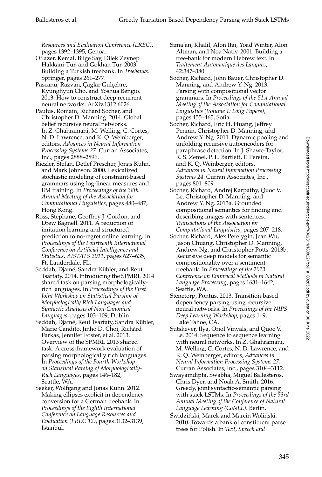*Resources and Evaluation Conference (LREC)*, pages 1392–1395, Genoa.

- Oflazer, Kemal, Bilge Say, Dilek Zeynep Hakkani-Tür, and Gökhan Tür. 2003. Building a Turkish treebank. In *Treebanks*. Springer, pages 261–277.
- Pascanu, Razvan, Çaglar Gülçehre, Kyunghyun Cho, and Yoshua Bengio. 2013. How to construct deep recurrent neural networks. ArXiv.1312.6026.
- Paulus, Romain, Richard Socher, and Christopher D. Manning. 2014. Global belief recursive neural networks. In Z. Ghahramani, M. Welling, C. Cortes, N. D. Lawrence, and K. Q. Weinberger, editors, *Advances in Neural Information Processing Systems 27*. Curran Associates, Inc., pages 2888–2896.
- Riezler, Stefan, Detlef Prescher, Jonas Kuhn, and Mark Johnson. 2000. Lexicalized stochastic modeling of constraint-based grammars using log-linear measures and EM training. In *Proceedings of the 38th Annual Meeting of the Association for Computational Linguistics*, pages 480–487, Hong Kong.
- Ross, Stephane, Geoffrey J. Gordon, and ´ Drew Bagnell. 2011. A reduction of imitation learning and structured prediction to no-regret online learning. In *Proceedings of the Fourteenth International Conference on Artificial Intelligence and Statistics, AISTATS 2011*, pages 627–635, Ft. Lauderdale, FL.
- Seddah, Djamé, Sandra Kübler, and Reut Tsarfaty. 2014. Introducing the SPMRL 2014 shared task on parsing morphologicallyrich languages. In *Proceedings of the First Joint Workshop on Statistical Parsing of Morphologically Rich Languages and Syntactic Analysis of Non-Canonical Languages*, pages 103–109, Dublin.
- Seddah, Djamé, Reut Tsarfaty, Sandra Kübler, Marie Candito, Jinho D. Choi, Richárd Farkas, Jennifer Foster, et al. 2013. Overview of the SPMRL 2013 shared task: A cross-framework evaluation of parsing morphologically rich languages. In *Proceedings of the Fourth Workshop on Statistical Parsing of Morphologically-Rich Languages*, pages 146–182, Seattle, WA.
- Seeker, Wolfgang and Jonas Kuhn. 2012. Making ellipses explicit in dependency conversion for a German treebank. In *Proceedings of the Eighth International Conference on Language Resources and Evaluation (LREC'12)*, pages 3132–3139, Istanbul.
- Sima'an, Khalil, Alon Itai, Yoad Winter, Alon Altman, and Noa Nativ. 2001. Building a tree-bank for modern Hebrew text. In *Traitement Automatique des Langues*, 42:347–380.
- Socher, Richard, John Bauer, Christopher D. Manning, and Andrew Y. Ng. 2013. Parsing with compositional vector grammars. In *Proceedings of the 51st Annual Meeting of the Association for Computational Linguistics (Volume 1: Long Papers)*, pages 455–465, Sofia.
- Socher, Richard, Eric H. Huang, Jeffrey Pennin, Christopher D. Manning, and Andrew Y. Ng. 2011. Dynamic pooling and unfolding recursive autoencoders for paraphrase detection. In J. Shawe-Taylor, R. S. Zemel, P. L. Bartlett, F. Pereira, and K. Q. Weinberger, editors, *Advances in Neural Information Processing Systems 24*. Curran Associates, Inc., pages 801–809.
- Socher, Richard, Andrej Karpathy, Quoc V. Le, Christopher D. Manning, and Andrew Y. Ng. 2013a. Grounded compositional semantics for finding and describing images with sentences. *Transactions of the Association for Computational Linguistics*, pages 207–218.
- Socher, Richard, Alex Perelygin, Jean Wu, Jason Chuang, Christopher D. Manning, Andrew Ng, and Christopher Potts. 2013b. Recursive deep models for semantic compositionality over a sentiment treebank. In *Proceedings of the 2013 Conference on Empirical Methods in Natural Language Processing*, pages 1631–1642, Seattle, WA.
- Stenetorp, Pontus. 2013. Transition-based dependency parsing using recursive neural networks. In *Proceedings of the NIPS Deep Learning Workshop*, pages 1–9, Lake Tahoe, CA.
- Sutskever, Ilya, Oriol Vinyals, and Quoc V. Le. 2014. Sequence to sequence learning with neural networks. In Z. Ghahramani, M. Welling, C. Cortes, N. D. Lawrence, and K. Q. Weinberger, editors, *Advances in Neural Information Processing Systems 27*. Curran Associates, Inc., pages 3104–3112.
- Swayamdipta, Swabha, Miguel Ballesteros, Chris Dyer, and Noah A. Smith. 2016. Greedy, joint syntactic-semantic parsing with stack LSTMs. In *Proceedings of the 53rd Annual Meeting of the Conference of Natural Language Learning (CoNLL)*. Berlin.
- Świdziński, Marek and Marcin Woliński. 2010. Towards a bank of constituent parse trees for Polish. In *Text, Speech and*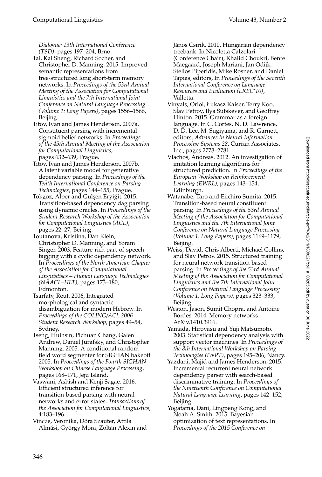*Dialogue: 13th International Conference (TSD)*, pages 197–204, Brno.

Tai, Kai Sheng, Richard Socher, and Christopher D. Manning. 2015. Improved semantic representations from tree-structured long short-term memory networks. In *Proceedings of the 53rd Annual Meeting of the Association for Computational Linguistics and the 7th International Joint Conference on Natural Language Processing (Volume 1: Long Papers)*, pages 1556–1566, Beijing.

Titov, Ivan and James Henderson. 2007a. Constituent parsing with incremental sigmoid belief networks. In *Proceedings of the 45th Annual Meeting of the Association for Computational Linguistics*, pages 632–639, Prague.

Titov, Ivan and James Henderson. 2007b. A latent variable model for generative dependency parsing. In *Proceedings of the Tenth International Conference on Parsing Technologies*, pages 144–155, Prague.

Tokgöz, Alper and Gülşen Eryiğit. 2015. Transition-based dependency dag parsing using dynamic oracles. In *Proceedings of the Student Research Workshop of the Association for Computational Linguistics (ACL)*, pages 22–27, Beijing.

Toutanova, Kristina, Dan Klein, Christopher D. Manning, and Yoram Singer. 2003, Feature-rich part-of-speech tagging with a cyclic dependency network. In *Proceedings of the North American Chapter of the Association for Computational Linguistiscs – Human Language Technologies (NAACL–HLT)*, pages 173–180, Edmonton.

Tsarfaty, Reut. 2006, Integrated morphological and syntactic disambiguation for modern Hebrew. In *Proceedings of the COLING/ACL 2006 Student Research Workshop*, pages 49–54, Sydney.

Tseng, Huihsin, Pichuan Chang, Galen Andrew, Daniel Jurafsky, and Christopher Manning. 2005. A conditional random field word segmenter for SIGHAN bakeoff 2005. In *Proceedings of the Fourth SIGHAN Workshop on Chinese Language Processing*, pages 168–171, Jeju Island.

Vaswani, Ashish and Kenji Sagae. 2016. Efficient structured inference for transition-based parsing with neural networks and error states. *Transactions of the Association for Computational Linguistics*, 4:183–196.

Vincze, Veronika, Dóra Szauter, Attila Almási, György Móra, Zoltán Alexin and János Csirik. 2010. Hungarian dependency treebank. In Nicoletta Calzolari (Conference Chair), Khalid Choukri, Bente Maegaard, Joseph Mariani, Jan Odijk, Stelios Piperidis, Mike Rosner, and Daniel Tapias, editors, In *Proceedings of the Seventh International Conference on Language Resources and Evaluation (LREC'10)*, Valletta.

Vinyals, Oriol, Łukasz Kaiser, Terry Koo, Slav Petrov, Ilya Sutskever, and Geoffrey Hinton. 2015. Grammar as a foreign language. In C. Cortes, N. D. Lawrence, D. D. Lee, M. Sugiyama, and R. Garnett, editors, *Advances in Neural Information Processing Systems 28*. Curran Associates, Inc., pages 2773–2781.

Vlachos, Andreas. 2012. An investigation of imitation learning algorithms for structured prediction. In *Proceedings of the European Workshop on Reinforcement Learning (EWRL)*, pages 143–154, Edinburgh.

Watanabe, Taro and Eiichiro Sumita. 2015. Transition-based neural constituent parsing. In *Proceedings of the 53rd Annual Meeting of the Association for Computational Linguistics and the 7th International Joint Conference on Natural Language Processing (Volume 1: Long Papers)*, pages 1169–1179, Beijing.

Weiss, David, Chris Alberti, Michael Collins, and Slav Petrov. 2015. Structured training for neural network transition-based parsing. In *Proceedings of the 53rd Annual Meeting of the Association for Computational Linguistics and the 7th International Joint Conference on Natural Language Processing (Volume 1: Long Papers)*, pages 323–333, Beijing.

Weston, Jason, Sumit Chopra, and Antoine Bordes. 2014. Memory networks. ArXiv.1410.3916.

Yamada, Hiroyasu and Yuji Matsumoto. 2003. Statistical dependency analysis with support vector machines. In *Proceedings of the 8th International Workshop on Parsing Technologies (IWPT)*, pages 195–206, Nancy.

Yazdani, Majid and James Henderson. 2015. Incremental recurrent neural network dependency parser with search-based discriminative training. In *Proceedings of the Nineteenth Conference on Computational Natural Language Learning*, pages 142–152, Beijing.

Yogatama, Dani, Lingpeng Kong, and Noah A. Smith. 2015. Bayesian optimization of text representations. In *Proceedings of the 2015 Conference on*